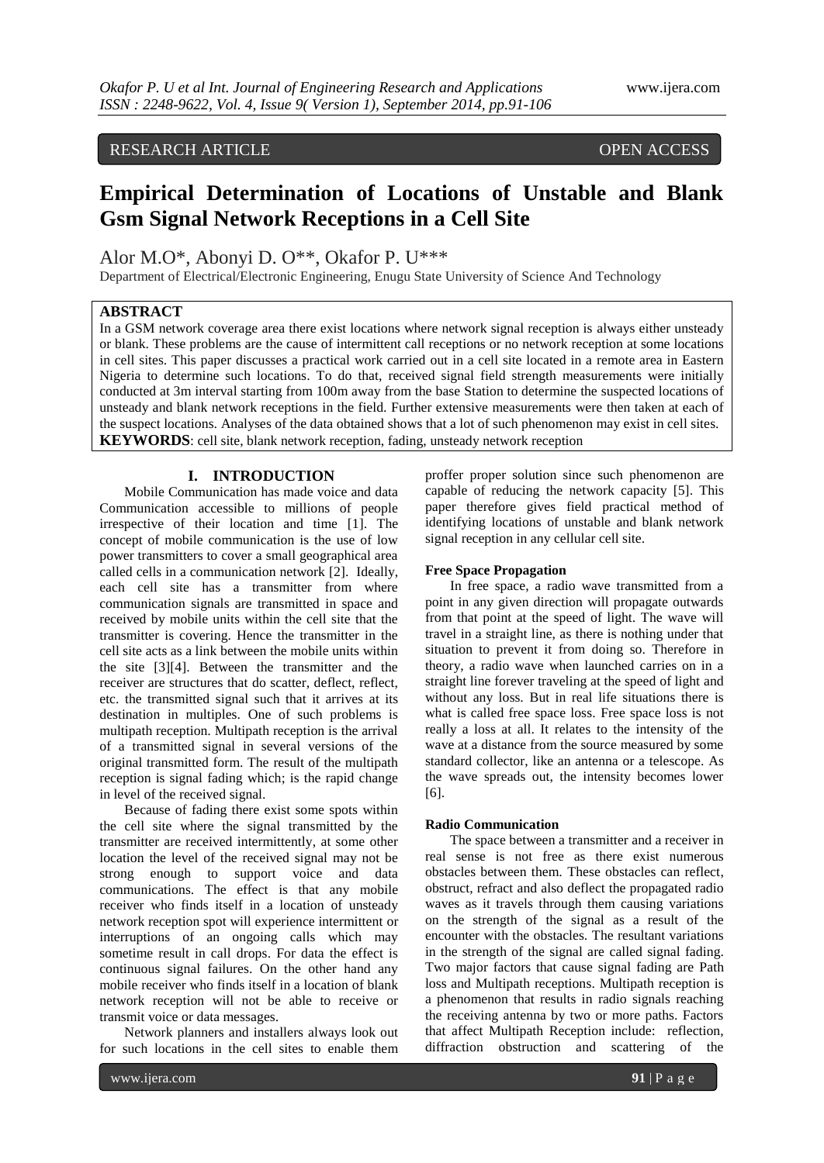# RESEARCH ARTICLE OPEN ACCESS

# **Empirical Determination of Locations of Unstable and Blank Gsm Signal Network Receptions in a Cell Site**

Alor M.O\*, Abonyi D. O\*\*, Okafor P. U\*\*\*

Department of Electrical/Electronic Engineering, Enugu State University of Science And Technology

# **ABSTRACT**

In a GSM network coverage area there exist locations where network signal reception is always either unsteady or blank. These problems are the cause of intermittent call receptions or no network reception at some locations in cell sites. This paper discusses a practical work carried out in a cell site located in a remote area in Eastern Nigeria to determine such locations. To do that, received signal field strength measurements were initially conducted at 3m interval starting from 100m away from the base Station to determine the suspected locations of unsteady and blank network receptions in the field. Further extensive measurements were then taken at each of the suspect locations. Analyses of the data obtained shows that a lot of such phenomenon may exist in cell sites. **KEYWORDS**: cell site, blank network reception, fading, unsteady network reception

# **I. INTRODUCTION**

Mobile Communication has made voice and data Communication accessible to millions of people irrespective of their location and time [1]. The concept of mobile communication is the use of low power transmitters to cover a small geographical area called cells in a communication network [2]. Ideally, each cell site has a transmitter from where communication signals are transmitted in space and received by mobile units within the cell site that the transmitter is covering. Hence the transmitter in the cell site acts as a link between the mobile units within the site [3][4]. Between the transmitter and the receiver are structures that do scatter, deflect, reflect, etc. the transmitted signal such that it arrives at its destination in multiples. One of such problems is multipath reception. Multipath reception is the arrival of a transmitted signal in several versions of the original transmitted form. The result of the multipath reception is signal fading which; is the rapid change in level of the received signal.

Because of fading there exist some spots within the cell site where the signal transmitted by the transmitter are received intermittently, at some other location the level of the received signal may not be strong enough to support voice and data communications. The effect is that any mobile receiver who finds itself in a location of unsteady network reception spot will experience intermittent or interruptions of an ongoing calls which may sometime result in call drops. For data the effect is continuous signal failures. On the other hand any mobile receiver who finds itself in a location of blank network reception will not be able to receive or transmit voice or data messages.

Network planners and installers always look out for such locations in the cell sites to enable them

proffer proper solution since such phenomenon are capable of reducing the network capacity [5]. This paper therefore gives field practical method of identifying locations of unstable and blank network signal reception in any cellular cell site.

# **Free Space Propagation**

In free space, a radio wave transmitted from a point in any given direction will propagate outwards from that point at the speed of light. The wave will travel in a straight line, as there is nothing under that situation to prevent it from doing so. Therefore in theory, a radio wave when launched carries on in a straight line forever traveling at the speed of light and without any loss. But in real life situations there is what is called free space loss. Free space loss is not really a loss at all. It relates to the intensity of the wave at a distance from the source measured by some standard collector, like an antenna or a telescope. As the wave spreads out, the intensity becomes lower [6].

#### **Radio Communication**

The space between a transmitter and a receiver in real sense is not free as there exist numerous obstacles between them. These obstacles can reflect, obstruct, refract and also deflect the propagated radio waves as it travels through them causing variations on the strength of the signal as a result of the encounter with the obstacles. The resultant variations in the strength of the signal are called signal fading. Two major factors that cause signal fading are Path loss and Multipath receptions. Multipath reception is a phenomenon that results in radio signals reaching the receiving antenna by two or more paths. Factors that affect Multipath Reception include: reflection, diffraction obstruction and scattering of the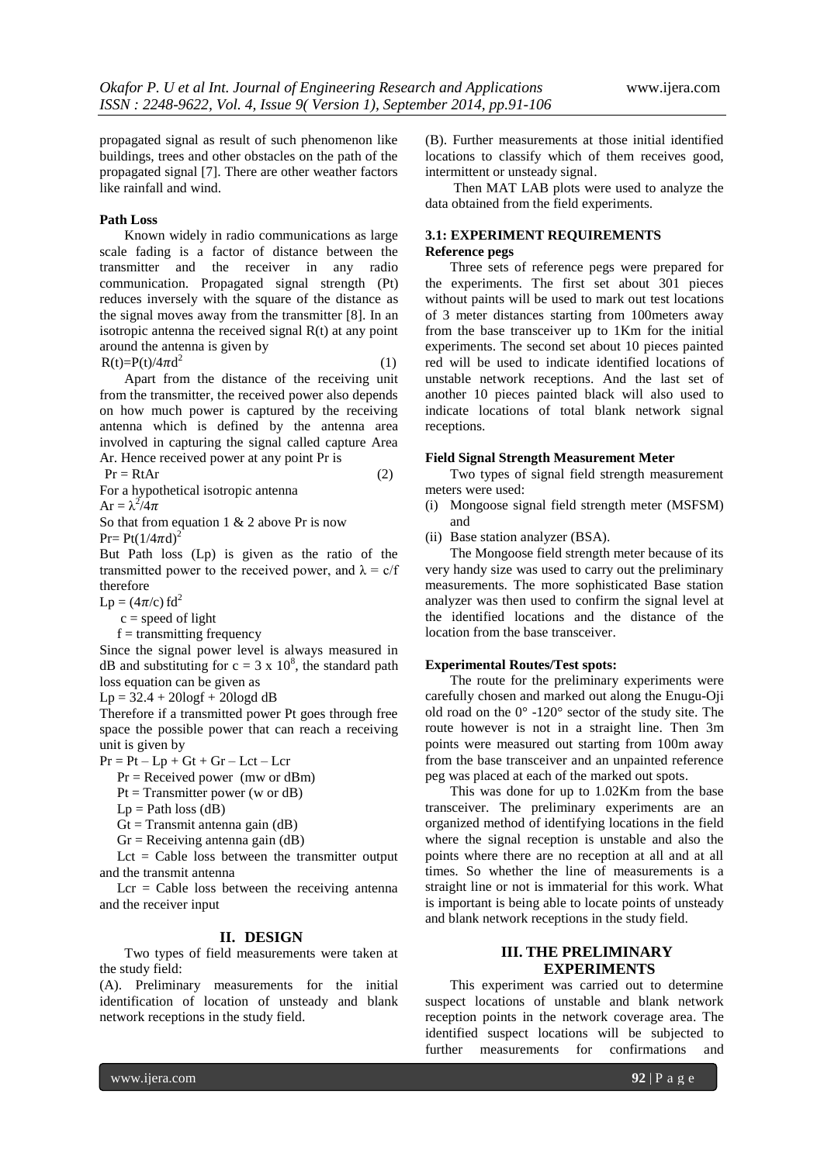propagated signal as result of such phenomenon like buildings, trees and other obstacles on the path of the propagated signal [7]. There are other weather factors like rainfall and wind.

## **Path Loss**

Known widely in radio communications as large scale fading is a factor of distance between the transmitter and the receiver in any radio communication. Propagated signal strength (Pt) reduces inversely with the square of the distance as the signal moves away from the transmitter [8]. In an isotropic antenna the received signal R(t) at any point around the antenna is given by

 $R(t)=P(t)/4\pi d^2$  $2^{2}$  (1) Apart from the distance of the receiving unit from the transmitter, the received power also depends on how much power is captured by the receiving antenna which is defined by the antenna area involved in capturing the signal called capture Area Ar. Hence received power at any point Pr is

$$
Pr = RtAr
$$
 (2)

For a hypothetical isotropic antenna

$$
Ar = \lambda^2/4\pi
$$

So that from equation 1  $& 2$  above Pr is now

 $Pr = Pt(1/4\pi d)^2$ 

But Path loss (Lp) is given as the ratio of the transmitted power to the received power, and  $\lambda = c/f$ therefore

 $Lp = (4\pi/c) \text{ fd}^2$ 

 $c = speed of light$ 

$$
f =
$$
 transmitting frequency

Since the signal power level is always measured in dB and substituting for  $c = 3 \times 10^8$ , the standard path loss equation can be given as

 $Lp = 32.4 + 20\log f + 20\log d$  dB

Therefore if a transmitted power Pt goes through free space the possible power that can reach a receiving unit is given by

 $Pr = Pt - Lp + Gt + Gr - Lct - Lcr$ 

 $Pr =$  Received power (mw or dBm)

- $Pt = Transmitter power (w or dB)$
- $Lp = Path loss (dB)$

 $Gt = Transmit antenna gain (dB)$ 

 $Gr = Receiving$  antenna gain (dB)

Lct  $=$  Cable loss between the transmitter output and the transmit antenna

 $Lcr = Cable loss between the receiving antenna$ and the receiver input

# **II. DESIGN**

Two types of field measurements were taken at the study field:

(A). Preliminary measurements for the initial identification of location of unsteady and blank network receptions in the study field.

(B). Further measurements at those initial identified locations to classify which of them receives good, intermittent or unsteady signal.

Then MAT LAB plots were used to analyze the data obtained from the field experiments.

# **3.1: EXPERIMENT REQUIREMENTS Reference pegs**

Three sets of reference pegs were prepared for the experiments. The first set about 301 pieces without paints will be used to mark out test locations of 3 meter distances starting from 100meters away from the base transceiver up to 1Km for the initial experiments. The second set about 10 pieces painted red will be used to indicate identified locations of unstable network receptions. And the last set of another 10 pieces painted black will also used to indicate locations of total blank network signal receptions.

### **Field Signal Strength Measurement Meter**

Two types of signal field strength measurement meters were used:

- (i) Mongoose signal field strength meter (MSFSM) and
- (ii) Base station analyzer (BSA).

The Mongoose field strength meter because of its very handy size was used to carry out the preliminary measurements. The more sophisticated Base station analyzer was then used to confirm the signal level at the identified locations and the distance of the location from the base transceiver.

# **Experimental Routes/Test spots:**

The route for the preliminary experiments were carefully chosen and marked out along the Enugu-Oji old road on the 0° -120° sector of the study site. The route however is not in a straight line. Then 3m points were measured out starting from 100m away from the base transceiver and an unpainted reference peg was placed at each of the marked out spots.

This was done for up to 1.02Km from the base transceiver. The preliminary experiments are an organized method of identifying locations in the field where the signal reception is unstable and also the points where there are no reception at all and at all times. So whether the line of measurements is a straight line or not is immaterial for this work. What is important is being able to locate points of unsteady and blank network receptions in the study field.

# **III. THE PRELIMINARY EXPERIMENTS**

This experiment was carried out to determine suspect locations of unstable and blank network reception points in the network coverage area. The identified suspect locations will be subjected to further measurements for confirmations and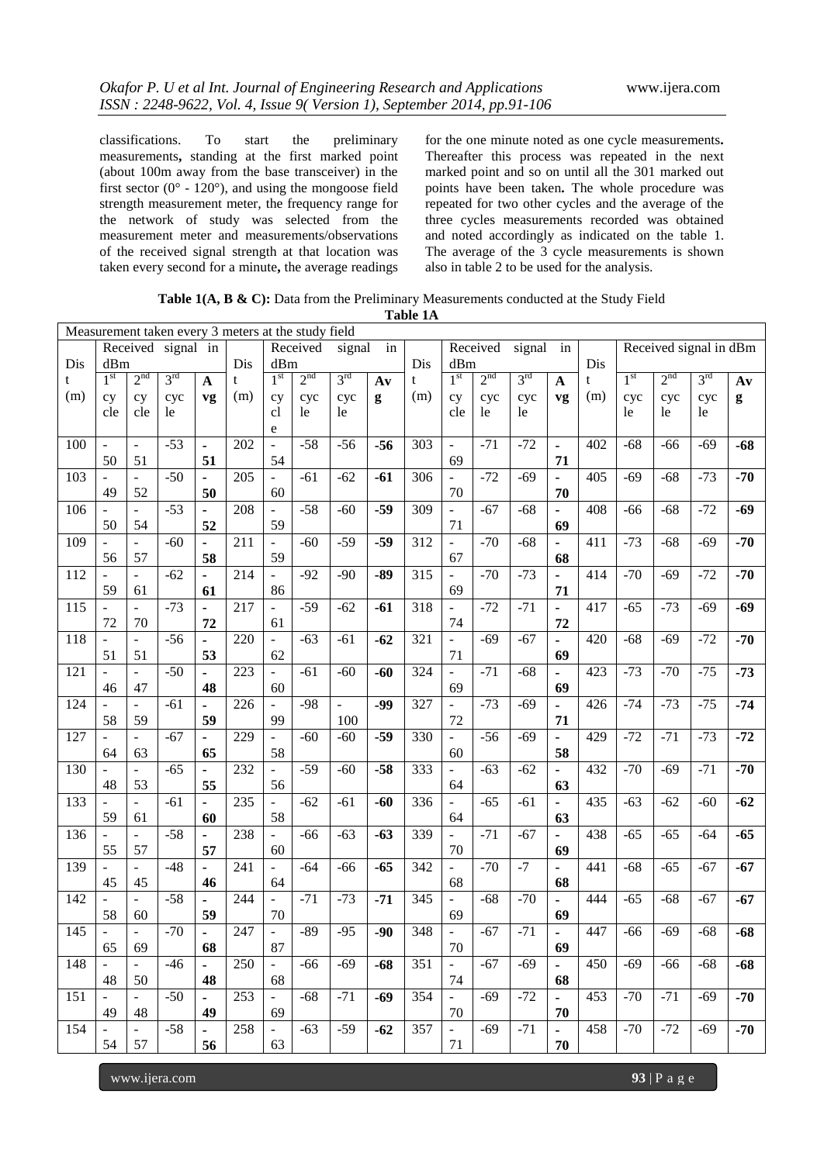classifications. To start the preliminary measurements**,** standing at the first marked point (about 100m away from the base transceiver) in the first sector ( $0^\circ$  - 120 $^\circ$ ), and using the mongoose field strength measurement meter, the frequency range for the network of study was selected from the measurement meter and measurements/observations of the received signal strength at that location was taken every second for a minute**,** the average readings for the one minute noted as one cycle measurements**.**  Thereafter this process was repeated in the next marked point and so on until all the 301 marked out points have been taken**.** The whole procedure was repeated for two other cycles and the average of the three cycles measurements recorded was obtained and noted accordingly as indicated on the table 1. The average of the 3 cycle measurements is shown also in table 2 to be used for the analysis.

|     | Measurement taken every 3 meters at the study field |                          |                    |                              |     |                          |                 |                 |       |                  |                          |                 |                 |                      |     |                 |                        |                 |               |
|-----|-----------------------------------------------------|--------------------------|--------------------|------------------------------|-----|--------------------------|-----------------|-----------------|-------|------------------|--------------------------|-----------------|-----------------|----------------------|-----|-----------------|------------------------|-----------------|---------------|
|     |                                                     |                          | Received signal in |                              |     |                          | Received        | signal          | in    |                  |                          | Received        | signal          | in                   |     |                 | Received signal in dBm |                 |               |
| Dis | dBm                                                 |                          |                    |                              | Dis | dBm                      |                 |                 |       | Dis              | dBm                      |                 |                 |                      | Dis |                 |                        |                 |               |
| t   | 1 <sup>st</sup>                                     | 2 <sup>nd</sup>          | $3^{\text{rd}}$    | $\mathbf{A}$                 | t   | 1 <sup>st</sup>          | 2 <sup>nd</sup> | 3 <sup>rd</sup> | Av    | t                | 1 <sup>st</sup>          | 2 <sup>nd</sup> | $3^{\text{rd}}$ | $\mathbf{A}$         | t   | 1 <sup>st</sup> | 2 <sup>nd</sup>        | $3^{\text{rd}}$ | $A\mathbf{v}$ |
| (m) | cy                                                  | cy                       | cyc                | vg                           | (m) | cy                       | cyc             | cyc             | g     | (m)              | cy                       | cyc             | cyc             | vg                   | (m) | cyc             | cyc                    | cyc             | g             |
|     | cle                                                 | cle                      | le                 |                              |     | cl                       | le              | le              |       |                  | cle                      | le              | le              |                      |     | le              | le                     | le              |               |
|     |                                                     |                          |                    |                              |     | e                        |                 |                 |       |                  |                          |                 |                 |                      |     |                 |                        |                 |               |
| 100 | $\frac{1}{2}$                                       | $\bar{\phantom{a}}$      | $-53$              | $\blacksquare$               | 202 | $\equiv$                 | $-58$           | $-56$           | $-56$ | 303              | $\bar{\phantom{a}}$      | $-71$           | $-72$           | $\blacksquare$       | 402 | $-68$           | $-66$                  | $-69$           | $-68$         |
|     | 50                                                  | 51                       |                    | 51                           |     | 54                       |                 |                 |       |                  | 69                       |                 |                 | 71                   |     |                 |                        |                 |               |
| 103 |                                                     | $\overline{a}$           | $-50$              |                              | 205 | $\blacksquare$           | $-61$           | $-62$           | $-61$ | 306              | $\overline{\phantom{a}}$ | $-72$           | $-69$           |                      | 405 | $-69$           | $-68$                  | $-73$           | $-70$         |
|     | 49                                                  | 52                       |                    | ٠<br>50                      |     |                          |                 |                 |       |                  | 70                       |                 |                 | $\blacksquare$<br>70 |     |                 |                        |                 |               |
|     |                                                     |                          |                    |                              |     | 60                       |                 |                 |       |                  |                          |                 |                 |                      |     |                 |                        |                 |               |
| 106 |                                                     |                          | $-53$              | $\qquad \qquad \blacksquare$ | 208 | $\blacksquare$           | $-58$           | $-60$           | $-59$ | 309              | $\Box$                   | $-67$           | $-68$           | $\blacksquare$       | 408 | $-66$           | $-68$                  | $-72$           | $-69$         |
|     | 50                                                  | 54                       |                    | 52                           |     | 59                       |                 |                 |       |                  | 71                       |                 |                 | 69                   |     |                 |                        |                 |               |
| 109 |                                                     |                          | $-60$              | ÷,                           | 211 | $\blacksquare$           | $-60$           | $-59$           | $-59$ | 312              | $\frac{1}{2}$            | $-70$           | $-68$           |                      | 411 | $-73$           | $-68$                  | $-69$           | $-70$         |
|     | 56                                                  | 57                       |                    | 58                           |     | 59                       |                 |                 |       |                  | 67                       |                 |                 | 68                   |     |                 |                        |                 |               |
| 112 |                                                     |                          | $-62$              | ä,                           | 214 | $\blacksquare$           | $-92$           | $-90$           | $-89$ | $\overline{315}$ | $\frac{1}{2}$            | $-70$           | $-73$           |                      | 414 | $-70$           | $-69$                  | $-72$           | $-70$         |
|     | 59                                                  | 61                       |                    | 61                           |     | 86                       |                 |                 |       |                  | 69                       |                 |                 | 71                   |     |                 |                        |                 |               |
| 115 |                                                     |                          | $-73$              |                              | 217 |                          | $-59$           | $-62$           | $-61$ | 318              |                          | $-72$           | $-71$           | $\blacksquare$       | 417 | $-65$           | $-73$                  | $-69$           | $-69$         |
|     | 72                                                  | $70\,$                   |                    | 72                           |     | 61                       |                 |                 |       |                  | 74                       |                 |                 | 72                   |     |                 |                        |                 |               |
| 118 |                                                     |                          | $-56$              |                              | 220 |                          | $-63$           | $-61$           | $-62$ | 321              | $\overline{a}$           | $-69$           | $-67$           |                      | 420 | $-68$           | $-69$                  | $-72$           | $-70$         |
|     | 51                                                  | 51                       |                    | 53                           |     | 62                       |                 |                 |       |                  | 71                       |                 |                 | 69                   |     |                 |                        |                 |               |
| 121 |                                                     | $\overline{a}$           | $-50$              |                              | 223 | $\equiv$                 | $-61$           | $-60$           | $-60$ | 324              | $\overline{a}$           | $-71$           | $-68$           |                      | 423 | $-73$           | $-70$                  | $-75$           | $-73$         |
|     | 46                                                  | 47                       |                    | 48                           |     | 60                       |                 |                 |       |                  | 69                       |                 |                 | 69                   |     |                 |                        |                 |               |
| 124 |                                                     |                          | $-61$              | ÷,                           | 226 |                          | $-98$           | L.              | $-99$ | 327              | $\overline{a}$           | $-73$           | $-69$           | $\blacksquare$       | 426 | $-74$           | $-73$                  | $-75$           | $-74$         |
|     | 58                                                  | 59                       |                    | 59                           |     | 99                       |                 | 100             |       |                  | 72                       |                 |                 | 71                   |     |                 |                        |                 |               |
| 127 |                                                     |                          | $-67$              | ä,                           | 229 | $\overline{\phantom{a}}$ | $-60$           | $-60$           | $-59$ | 330              | $\frac{1}{2}$            | $-56$           | $-69$           | $\overline{a}$       | 429 | $-72$           | $-71$                  | $-73$           | $-72$         |
|     | 64                                                  | 63                       |                    | 65                           |     | 58                       |                 |                 |       |                  | 60                       |                 |                 | 58                   |     |                 |                        |                 |               |
| 130 |                                                     |                          | $-65$              | ä,                           | 232 | $\equiv$                 | $-59$           | $-60$           | $-58$ | 333              | $\frac{1}{2}$            | $-63$           | $-62$           | ä,                   | 432 | $-70$           | $-69$                  | $-71$           | $-70$         |
|     | 48                                                  | 53                       |                    |                              |     |                          |                 |                 |       |                  |                          |                 |                 |                      |     |                 |                        |                 |               |
|     |                                                     |                          |                    | 55                           |     | 56                       |                 |                 |       |                  | 64                       |                 |                 | 63                   |     |                 |                        |                 |               |
| 133 |                                                     | $\overline{\phantom{a}}$ | $-61$              | $\blacksquare$               | 235 |                          | $-62$           | $-61$           | $-60$ | 336              | $\overline{\phantom{a}}$ | $-65$           | $-61$           | $\blacksquare$       | 435 | $-63$           | $-62$                  | $-60$           | $-62$         |
|     | 59                                                  | 61                       |                    | 60                           |     | 58                       |                 |                 |       |                  | 64                       |                 |                 | 63                   |     |                 |                        |                 |               |
| 136 |                                                     | $\overline{a}$           | $-58$              | $\blacksquare$               | 238 | $\equiv$                 | $-66$           | $-63$           | $-63$ | 339              | $\Box$                   | $-71$           | $-67$           | $\blacksquare$       | 438 | $-65$           | $-65$                  | $-64$           | $-65$         |
|     | 55                                                  | 57                       |                    | 57                           |     | 60                       |                 |                 |       |                  | 70                       |                 |                 | 69                   |     |                 |                        |                 |               |
| 139 |                                                     | $\overline{a}$           | $-48$              | L,                           | 241 | $\omega$                 | $-64$           | $-66$           | $-65$ | 342              | $\frac{1}{2}$            | $-70$           | $-7$            |                      | 441 | $-68$           | $-65$                  | $-67$           | $-67$         |
|     | 45                                                  | 45                       |                    | 46                           |     | 64                       |                 |                 |       |                  | 68                       |                 |                 | 68                   |     |                 |                        |                 |               |
| 142 |                                                     | $\overline{\phantom{0}}$ | $-58$              | $\blacksquare$               | 244 |                          | $-71$           | $-73$           | $-71$ | 345              | $\overline{\phantom{a}}$ | $-68$           | $-70$           |                      | 444 | $-65$           | $-68$                  | $-67$           | $-67$         |
|     | 58                                                  | 60                       |                    | 59                           |     | 70                       |                 |                 |       |                  | 69                       |                 |                 | 69                   |     |                 |                        |                 |               |
| 145 | ÷,                                                  | $\overline{a}$           | $-70$              | $\blacksquare$               | 247 | $\blacksquare$           | $-89$           | $-95$           | $-90$ | 348              | $\frac{1}{2}$            | $-67$           | $-71$           | $\blacksquare$       | 447 | $-66$           | $-69$                  | $-68$           | $-68$         |
|     | 65                                                  | 69                       |                    | 68                           |     | $87\,$                   |                 |                 |       |                  | $70\,$                   |                 |                 | 69                   |     |                 |                        |                 |               |
| 148 | $\overline{\phantom{a}}$                            | $\sim$ .                 | $-46$              |                              | 250 | $\sim$                   | -66             | $-69$           | -68   | 351              | $\omega_{\rm c}$         | $-67$           | $-69$           | $\blacksquare$       | 450 | -69             | -66                    | $-68$           | $-68$         |
|     | 48                                                  | 50                       |                    | 48                           |     | 68                       |                 |                 |       |                  | 74                       |                 |                 | 68                   |     |                 |                        |                 |               |
| 151 | $\blacksquare$                                      | $\sim$                   | $-50$              |                              | 253 |                          | $-68$           | $-71$           | $-69$ | 354              | $\mathbb{L}$             | $-69$           | $-72$           | $\sim$               | 453 | $-70$           | $-71$                  | $-69$           | $-70$         |
|     | 49                                                  | 48                       |                    | 49                           |     | 69                       |                 |                 |       |                  | 70                       |                 |                 | 70                   |     |                 |                        |                 |               |
| 154 |                                                     |                          | $-58$              | $\overline{\phantom{0}}$     | 258 |                          | $-63$           | $-59$           | $-62$ | 357              | $\sim$                   | $-69$           | $-71$           | $\blacksquare$       | 458 | $-70$           | $-72$                  | $-69$           | $-70$         |
|     | 54                                                  | 57                       |                    | 56                           |     | 63                       |                 |                 |       |                  | 71                       |                 |                 | 70                   |     |                 |                        |                 |               |
|     |                                                     |                          |                    |                              |     |                          |                 |                 |       |                  |                          |                 |                 |                      |     |                 |                        |                 |               |

**Table 1(A, B & C):** Data from the Preliminary Measurements conducted at the Study Field **Table 1A**

www.ijera.com **93** | P a g e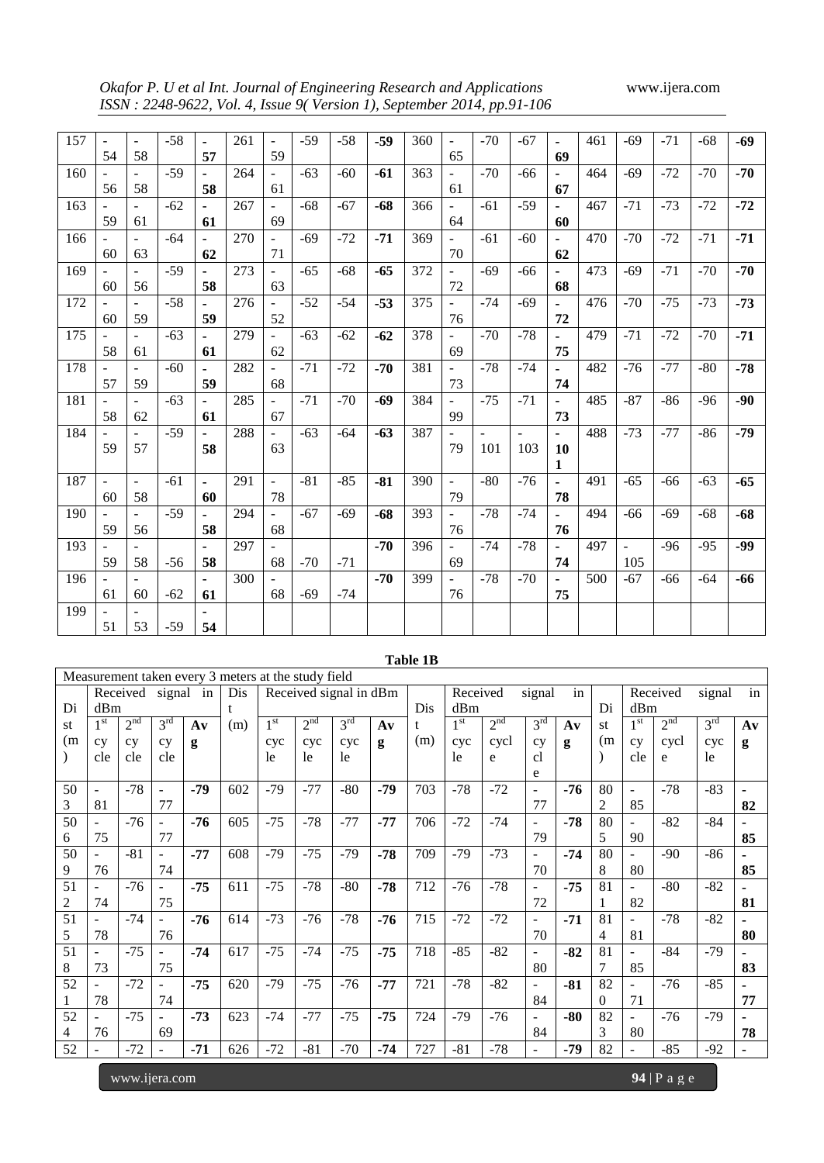*Okafor P. U et al Int. Journal of Engineering Research and Applications* www.ijera.com *ISSN : 2248-9622, Vol. 4, Issue 9( Version 1), September 2014, pp.91-106*

| 157 | $\overline{a}$           | $\overline{\phantom{a}}$ | $-58$ | $\blacksquare$ | 261 | $\overline{\phantom{a}}$ | $-59$ | $-58$ | $-59$ | 360 | ÷,                           | $-70$          | $-67$          | $\blacksquare$ | 461 | $-69$                    | $-71$ | $-68$ | $-69$ |
|-----|--------------------------|--------------------------|-------|----------------|-----|--------------------------|-------|-------|-------|-----|------------------------------|----------------|----------------|----------------|-----|--------------------------|-------|-------|-------|
|     | 54                       | 58                       |       | 57             |     | 59                       |       |       |       |     | 65                           |                |                | 69             |     |                          |       |       |       |
| 160 |                          | ٠                        | $-59$ | $\blacksquare$ | 264 | $\blacksquare$           | $-63$ | $-60$ | $-61$ | 363 | $\overline{\phantom{a}}$     | $-70$          | $-66$          | $\blacksquare$ | 464 | $-69$                    | $-72$ | $-70$ | $-70$ |
|     | 56                       | 58                       |       | 58             |     | 61                       |       |       |       |     | 61                           |                |                | 67             |     |                          |       |       |       |
| 163 |                          | $\overline{\phantom{a}}$ | $-62$ | $\blacksquare$ | 267 | $\sim$                   | $-68$ | $-67$ | $-68$ | 366 | $\blacksquare$               | $-61$          | $-59$          | $\blacksquare$ | 467 | $-71$                    | $-73$ | $-72$ | $-72$ |
|     | 59                       | 61                       |       | 61             |     | 69                       |       |       |       |     | 64                           |                |                | 60             |     |                          |       |       |       |
| 166 |                          |                          | $-64$ | $\blacksquare$ | 270 |                          | $-69$ | $-72$ | $-71$ | 369 | $\blacksquare$               | $-61$          | $-60$          | $\blacksquare$ | 470 | $-70$                    | $-72$ | $-71$ | $-71$ |
|     | 60                       | 63                       |       | 62             |     | 71                       |       |       |       |     | 70                           |                |                | 62             |     |                          |       |       |       |
| 169 | $\overline{\phantom{a}}$ | $\overline{a}$           | $-59$ | $\blacksquare$ | 273 | $\blacksquare$           | $-65$ | $-68$ | $-65$ | 372 | ÷,                           | $-69$          | $-66$          | $\blacksquare$ | 473 | $-69$                    | $-71$ | $-70$ | $-70$ |
|     | 60                       | 56                       |       | 58             |     | 63                       |       |       |       |     | 72                           |                |                | 68             |     |                          |       |       |       |
| 172 | $\overline{\phantom{a}}$ | $\overline{\phantom{a}}$ | $-58$ | $\blacksquare$ | 276 | $\sim$                   | $-52$ | $-54$ | $-53$ | 375 | $\qquad \qquad \blacksquare$ | $-74$          | $-69$          | $\blacksquare$ | 476 | $-70$                    | $-75$ | $-73$ | $-73$ |
|     | 60                       | 59                       |       | 59             |     | 52                       |       |       |       |     | 76                           |                |                | 72             |     |                          |       |       |       |
| 175 |                          |                          | $-63$ | $\blacksquare$ | 279 | $\sim$                   | $-63$ | $-62$ | $-62$ | 378 | $\qquad \qquad \blacksquare$ | $-70$          | $-78$          | $\blacksquare$ | 479 | $-71$                    | $-72$ | $-70$ | $-71$ |
|     | 58                       | 61                       |       | 61             |     | 62                       |       |       |       |     | 69                           |                |                | 75             |     |                          |       |       |       |
| 178 |                          |                          | $-60$ | $\blacksquare$ | 282 | $\blacksquare$           | $-71$ | $-72$ | $-70$ | 381 | $\overline{\phantom{a}}$     | $-78$          | $-74$          | $\blacksquare$ | 482 | $-76$                    | $-77$ | $-80$ | $-78$ |
|     | 57                       | 59                       |       | 59             |     | 68                       |       |       |       |     | 73                           |                |                | 74             |     |                          |       |       |       |
| 181 | $\blacksquare$           | $\blacksquare$           | $-63$ | ä,             | 285 | $\blacksquare$           | $-71$ | $-70$ | $-69$ | 384 | $\bar{\phantom{a}}$          | $-75$          | $-71$          | $\blacksquare$ | 485 | $-87$                    | $-86$ | $-96$ | -90   |
|     | 58                       | 62                       |       | 61             |     | 67                       |       |       |       |     | 99                           |                |                | 73             |     |                          |       |       |       |
| 184 |                          | $\overline{a}$           | $-59$ | $\blacksquare$ | 288 | $\blacksquare$           | $-63$ | $-64$ | $-63$ | 387 | $\overline{\phantom{a}}$     | $\blacksquare$ | $\blacksquare$ | $\blacksquare$ | 488 | $-73$                    | $-77$ | $-86$ | $-79$ |
|     | 59                       | 57                       |       | 58             |     | 63                       |       |       |       |     | 79                           | 101            | 103            | 10             |     |                          |       |       |       |
|     |                          |                          |       |                |     |                          |       |       |       |     |                              |                |                | 1              |     |                          |       |       |       |
| 187 | ÷                        | $\blacksquare$           | $-61$ | $\blacksquare$ | 291 | $\blacksquare$           | $-81$ | $-85$ | $-81$ | 390 | $\blacksquare$               | $-80$          | $-76$          | $\blacksquare$ | 491 | $-65$                    | $-66$ | $-63$ | $-65$ |
|     | 60                       | 58                       |       | 60             |     | 78                       |       |       |       |     | 79                           |                |                | 78             |     |                          |       |       |       |
| 190 |                          |                          | $-59$ | ٠              | 294 | $\sim$                   | $-67$ | $-69$ | $-68$ | 393 | $\qquad \qquad \blacksquare$ | $-78$          | $-74$          | $\blacksquare$ | 494 | $-66$                    | $-69$ | $-68$ | $-68$ |
|     | 59                       | 56                       |       | 58             |     | 68                       |       |       |       |     | 76                           |                |                | 76             |     |                          |       |       |       |
| 193 |                          |                          |       | ٠              | 297 | $\overline{\phantom{a}}$ |       |       | $-70$ | 396 | $\blacksquare$               | $-74$          | $-78$          | $\blacksquare$ | 497 | $\overline{\phantom{a}}$ | $-96$ | $-95$ | $-99$ |
|     | 59                       | 58                       | $-56$ | 58             |     | 68                       | $-70$ | $-71$ |       |     | 69                           |                |                | 74             |     | 105                      |       |       |       |
| 196 |                          | $\blacksquare$           |       | $\blacksquare$ | 300 |                          |       |       | $-70$ | 399 | $\overline{\phantom{a}}$     | $-78$          | $-70$          | $\blacksquare$ | 500 | $-67$                    | -66   | $-64$ | -66   |
|     | 61                       | 60                       | $-62$ | 61             |     | 68                       | $-69$ | $-74$ |       |     | 76                           |                |                | 75             |     |                          |       |       |       |
| 199 |                          |                          |       | ٠              |     |                          |       |       |       |     |                              |                |                |                |     |                          |       |       |       |
|     | 51                       | 53                       | $-59$ | 54             |     |                          |       |       |       |     |                              |                |                |                |     |                          |       |       |       |

|     |                          |                 |                          |               |                                                     |                 |                 |                        |               | <b>Table 1B</b> |                 |                 |                          |               |          |                          |                 |                 |                |
|-----|--------------------------|-----------------|--------------------------|---------------|-----------------------------------------------------|-----------------|-----------------|------------------------|---------------|-----------------|-----------------|-----------------|--------------------------|---------------|----------|--------------------------|-----------------|-----------------|----------------|
|     |                          |                 |                          |               | Measurement taken every 3 meters at the study field |                 |                 |                        |               |                 |                 |                 |                          |               |          |                          |                 |                 |                |
|     |                          | Received        |                          | signal in     | Dis.                                                |                 |                 | Received signal in dBm |               |                 | Received        |                 | signal                   | in            |          |                          | Received        | signal          | in             |
| Di  | dBm                      |                 |                          |               | t                                                   |                 |                 |                        |               | Dis             | dBm             |                 |                          |               | Di       | dBm                      |                 |                 |                |
| st  | 1 <sup>st</sup>          | 2 <sup>nd</sup> | 3 <sup>rd</sup>          | $A\mathbf{v}$ | (m)                                                 | 1 <sup>st</sup> | 2 <sup>nd</sup> | 3 <sup>rd</sup>        | $A\mathbf{v}$ |                 | 1 <sup>st</sup> | 2 <sup>nd</sup> | 3 <sup>rd</sup>          | $A\mathbf{v}$ | st       | 1 <sup>st</sup>          | 2 <sup>nd</sup> | 3 <sup>rd</sup> | $A\mathbf{v}$  |
| (m) | cy                       | cy              | cy                       | g             |                                                     | cyc             | cyc             | cyc                    | g             | (m)             | cyc             | cycl            | cy                       | g             | (m)      | cy                       | cycl            | cyc             | g              |
|     | cle                      | cle             | cle                      |               |                                                     | <sub>le</sub>   | 1e              | le.                    |               |                 | le              | e               | cl                       |               |          | cle                      | e               | <sub>le</sub>   |                |
|     |                          |                 |                          |               |                                                     |                 |                 |                        |               |                 |                 |                 | e                        |               |          |                          |                 |                 |                |
| 50  | $\overline{\phantom{a}}$ | $-78$           | ۰                        | $-79$         | 602                                                 | $-79$           | $-77$           | $-80$                  | $-79$         | 703             | $-78$           | $-72$           | $\overline{\phantom{a}}$ | $-76$         | 80       | $\overline{\phantom{a}}$ | $-78$           | $-83$           |                |
| 3   | 81                       |                 | 77                       |               |                                                     |                 |                 |                        |               |                 |                 |                 | 77                       |               | 2        | 85                       |                 |                 | 82             |
| 50  | ÷                        | $-76$           | ÷,                       | $-76$         | 605                                                 | $-75$           | $-78$           | $-77$                  | $-77$         | 706             | $-72$           | $-74$           | $\blacksquare$           | $-78$         | 80       | $\overline{\phantom{a}}$ | $-82$           | $-84$           |                |
| 6   | 75                       |                 | 77                       |               |                                                     |                 |                 |                        |               |                 |                 |                 | 79                       |               | 5        | 90                       |                 |                 | 85             |
| 50  | ÷.                       | $-81$           | ÷                        | $-77$         | 608                                                 | $-79$           | $-75$           | $-79$                  | $-78$         | 709             | $-79$           | $-73$           | ÷                        | $-74$         | 80       | $\blacksquare$           | $-90$           | $-86$           |                |
| 9   | 76                       |                 | 74                       |               |                                                     |                 |                 |                        |               |                 |                 |                 | 70                       |               | 8        | 80                       |                 |                 | 85             |
| 51  | ÷                        | $-76$           | $\overline{\phantom{0}}$ | $-75$         | 611                                                 | $-75$           | $-78$           | $-80$                  | $-78$         | 712             | $-76$           | $-78$           | ÷                        | $-75$         | 81       | $\blacksquare$           | $-80$           | $-82$           | $\blacksquare$ |
| 2   | 74                       |                 | 75                       |               |                                                     |                 |                 |                        |               |                 |                 |                 | 72                       |               | 1        | 82                       |                 |                 | 81             |
| 51  | ÷                        | $-74$           | ۰                        | $-76$         | 614                                                 | $-73$           | $-76$           | $-78$                  | $-76$         | 715             | $-72$           | $-72$           | ÷                        | $-71$         | 81       | $\overline{\phantom{a}}$ | $-78$           | $-82$           | $\blacksquare$ |
| 5   | 78                       |                 | 76                       |               |                                                     |                 |                 |                        |               |                 |                 |                 | 70                       |               | 4        | 81                       |                 |                 | 80             |
| 51  | ÷,                       | $-75$           |                          | $-74$         | 617                                                 | $-75$           | $-74$           | $-75$                  | $-75$         | 718             | $-85$           | $-82$           | ۰                        | $-82$         | 81       | $\overline{\phantom{a}}$ | $-84$           | $-79$           |                |
| 8   | 73                       |                 | 75                       |               |                                                     |                 |                 |                        |               |                 |                 |                 | 80                       |               | 7        | 85                       |                 |                 | 83             |
| 52  |                          | $-72$           |                          | $-75$         | 620                                                 | $-79$           | $-75$           | $-76$                  | $-77$         | 721             | $-78$           | $-82$           | $\overline{a}$           | $-81$         | 82       | $\blacksquare$           | $-76$           | $-85$           |                |
| 1   | 78                       |                 | 74                       |               |                                                     |                 |                 |                        |               |                 |                 |                 | 84                       |               | $\Omega$ | 71                       |                 |                 | 77             |
| 52  | $\overline{\phantom{0}}$ | $-75$           | $\overline{\phantom{0}}$ | $-73$         | 623                                                 | $-74$           | $-77$           | $-75$                  | $-75$         | 724             | $-79$           | $-76$           | ÷                        | $-80$         | 82       | $\overline{\phantom{a}}$ | $-76$           | $-79$           |                |
| 4   | 76                       |                 | 69                       |               |                                                     |                 |                 |                        |               |                 |                 |                 | 84                       |               | 3        | 80                       |                 |                 | 78             |
| 52  | $\overline{\phantom{0}}$ | $-72$           | $\overline{\phantom{0}}$ | $-71$         | 626                                                 | $-72$           | $-81$           | $-70$                  | $-74$         | 727             | $-81$           | $-78$           | $\overline{\phantom{a}}$ | -79           | 82       | $\overline{\phantom{a}}$ | $-85$           | $-92$           | $\blacksquare$ |

www.ijera.com **94** | P a g e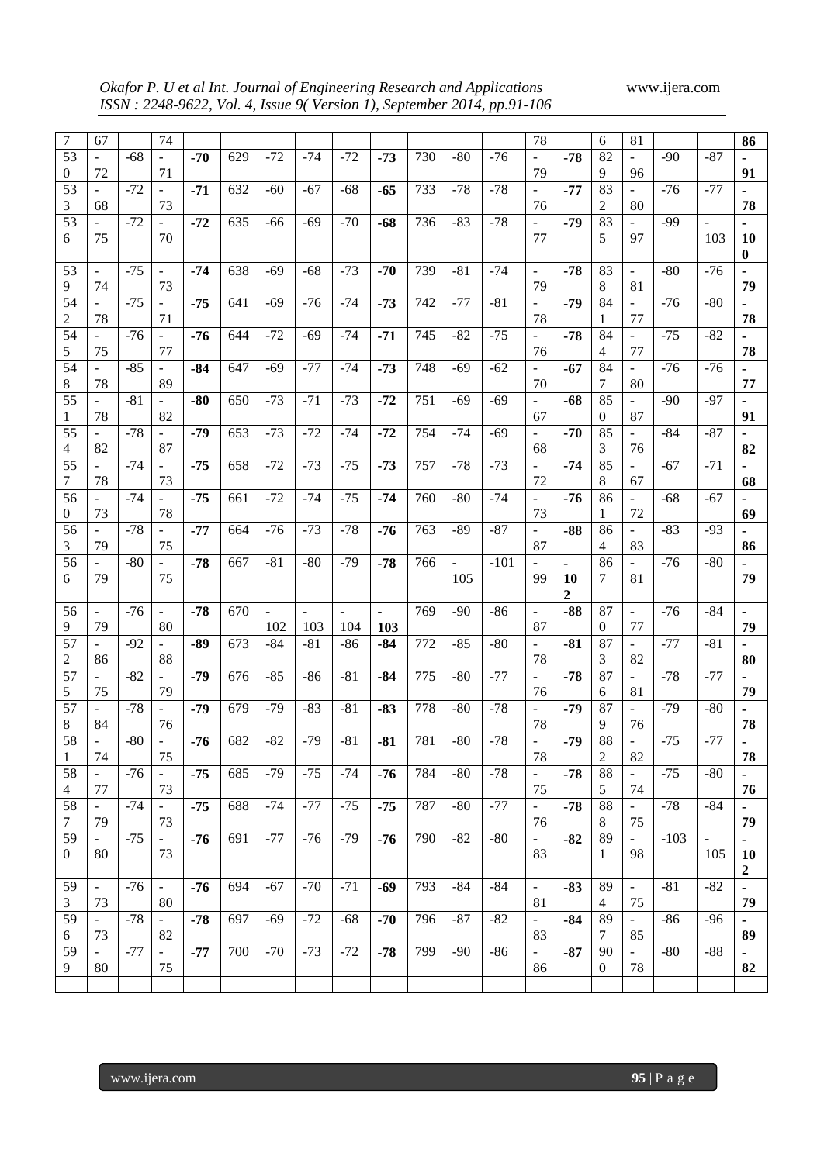*Okafor P. U et al Int. Journal of Engineering Research and Applications* www.ijera.com *ISSN : 2248-9622, Vol. 4, Issue 9( Version 1), September 2014, pp.91-106*

| 7               | 67                       |       | 74                           |       |     |       |       |       |       |     |                          |        | 78                       |              | 6        | 81                           |        |                          | 86               |
|-----------------|--------------------------|-------|------------------------------|-------|-----|-------|-------|-------|-------|-----|--------------------------|--------|--------------------------|--------------|----------|------------------------------|--------|--------------------------|------------------|
| 53              | $\blacksquare$           | $-68$ |                              | $-70$ | 629 | $-72$ | $-74$ | $-72$ | $-73$ | 730 | $-80$                    | $-76$  |                          | $-78$        | 82       | $\overline{\phantom{0}}$     | $-90$  | $-87$                    |                  |
| $\overline{0}$  | 72                       |       | 71                           |       |     |       |       |       |       |     |                          |        | 79                       |              | 9        | 96                           |        |                          | 91               |
| 53              | $\overline{\phantom{a}}$ | $-72$ | $\qquad \qquad \blacksquare$ | $-71$ | 632 | -60   | -67   | $-68$ | $-65$ | 733 | $-78$                    | $-78$  |                          | $-77$        | 83       | $\qquad \qquad \blacksquare$ | $-76$  | $-77$                    | $\blacksquare$   |
| 3               | 68                       |       | 73                           |       |     |       |       |       |       |     |                          |        | 76                       |              | 2        | 80                           |        |                          | 78               |
| 53              |                          |       |                              |       |     |       |       |       |       |     |                          |        |                          |              |          |                              |        |                          |                  |
|                 |                          | $-72$ | ÷,                           | $-72$ | 635 | -66   | -69   | $-70$ | -68   | 736 | $-83$                    | $-78$  |                          | -79          | 83       | $\qquad \qquad \blacksquare$ | $-99$  | $\overline{\phantom{a}}$ |                  |
| 6               | 75                       |       | 70                           |       |     |       |       |       |       |     |                          |        | 77                       |              | 5        | 97                           |        | 103                      | <b>10</b>        |
|                 |                          |       |                              |       |     |       |       |       |       |     |                          |        |                          |              |          |                              |        |                          | $\bf{0}$         |
| 53              | $\overline{\phantom{a}}$ | $-75$ | $\blacksquare$               | $-74$ | 638 | $-69$ | $-68$ | $-73$ | $-70$ | 739 | $-81$                    | $-74$  | $\overline{\phantom{a}}$ | $-78$        | 83       |                              | $-80$  | $-76$                    |                  |
| 9               | 74                       |       | 73                           |       |     |       |       |       |       |     |                          |        | 79                       |              | 8        | 81                           |        |                          | 79               |
| 54              | $\equiv$                 | $-75$ | $\frac{1}{2}$                | $-75$ | 641 | $-69$ | $-76$ | $-74$ | $-73$ | 742 | $-77$                    | $-81$  | $\overline{\phantom{a}}$ | $-79$        | 84       | ÷,                           | $-76$  | $-80$                    |                  |
| 2               | 78                       |       | 71                           |       |     |       |       |       |       |     |                          |        | 78                       |              | 1        | 77                           |        |                          | 78               |
| 54              | $\overline{\phantom{a}}$ | $-76$ | $\equiv$                     | $-76$ | 644 | $-72$ | $-69$ | $-74$ | $-71$ | 745 | $-82$                    | $-75$  | $\overline{a}$           | $-78$        | 84       | ÷,                           | $-75$  | $-82$                    |                  |
|                 |                          |       | 77                           |       |     |       |       |       |       |     |                          |        | 76                       |              | 4        |                              |        |                          |                  |
| 5               | 75                       |       |                              |       |     |       |       |       |       |     |                          |        |                          |              |          | 77                           |        |                          | 78               |
| 54              | $\blacksquare$           | $-85$ | $\blacksquare$               | $-84$ | 647 | $-69$ | $-77$ | $-74$ | $-73$ | 748 | $-69$                    | $-62$  |                          | $-67$        | 84       | $\overline{a}$               | $-76$  | $-76$                    |                  |
| 8               | 78                       |       | 89                           |       |     |       |       |       |       |     |                          |        | 70                       |              | 7        | 80                           |        |                          | 77               |
| 55              | $\overline{a}$           | $-81$ | $\frac{1}{2}$                | $-80$ | 650 | $-73$ | $-71$ | $-73$ | $-72$ | 751 | $-69$                    | $-69$  | $\overline{a}$           | $-68$        | 85       | ÷,                           | $-90$  | -97                      |                  |
| 1               | 78                       |       | 82                           |       |     |       |       |       |       |     |                          |        | 67                       |              | $\theta$ | 87                           |        |                          | 91               |
| 55              | $\overline{a}$           | $-78$ | ÷,                           | $-79$ | 653 | $-73$ | $-72$ | $-74$ | $-72$ | 754 | $-74$                    | $-69$  | $\overline{a}$           | $-70$        | 85       | ÷,                           | $-84$  | $-87$                    | $\blacksquare$   |
| 4               | 82                       |       | 87                           |       |     |       |       |       |       |     |                          |        | 68                       |              | 3        | 76                           |        |                          | 82               |
|                 |                          |       |                              |       |     |       |       |       |       |     |                          |        |                          |              |          |                              |        |                          |                  |
| 55              | $\overline{\phantom{a}}$ | $-74$ | $\blacksquare$               | $-75$ | 658 | $-72$ | $-73$ | $-75$ | $-73$ | 757 | $-78$                    | $-73$  | $\overline{a}$           | $-74$        | 85       | $\qquad \qquad \blacksquare$ | $-67$  | $-71$                    | $\blacksquare$   |
| 7               | 78                       |       | 73                           |       |     |       |       |       |       |     |                          |        | 72                       |              | 8        | 67                           |        |                          | 68               |
| 56              | $\blacksquare$           | $-74$ | $\frac{1}{2}$                | $-75$ | 661 | $-72$ | $-74$ | $-75$ | $-74$ | 760 | $-80$                    | $-74$  | $\Box$                   | $-76$        | 86       | ÷,                           | $-68$  | $-67$                    |                  |
| 0               | 73                       |       | 78                           |       |     |       |       |       |       |     |                          |        | 73                       |              | 1        | 72                           |        |                          | 69               |
| 56              | $\overline{\phantom{a}}$ | $-78$ |                              | $-77$ | 664 | $-76$ | $-73$ | $-78$ | -76   | 763 | $-89$                    | $-87$  | $\blacksquare$           | $-88$        | 86       | ÷,                           | $-83$  | $-93$                    |                  |
| 3               | 79                       |       | 75                           |       |     |       |       |       |       |     |                          |        | 87                       |              | 4        | 83                           |        |                          | 86               |
| 56              |                          | $-80$ | $\overline{a}$               | $-78$ | 667 | $-81$ | $-80$ | $-79$ | $-78$ | 766 | $\overline{\phantom{a}}$ | $-101$ |                          | ä,           | 86       | $\qquad \qquad \blacksquare$ | $-76$  | $-80$                    |                  |
|                 |                          |       |                              |       |     |       |       |       |       |     |                          |        |                          |              |          |                              |        |                          |                  |
|                 |                          |       |                              |       |     |       |       |       |       |     |                          |        |                          |              |          |                              |        |                          |                  |
| 6               | 79                       |       | 75                           |       |     |       |       |       |       |     | 105                      |        | 99                       | 10           | 7        | 81                           |        |                          | 79               |
|                 |                          |       |                              |       |     |       |       |       |       |     |                          |        |                          | $\mathbf{2}$ |          |                              |        |                          |                  |
| 56              | $\blacksquare$           | $-76$ | $\overline{\phantom{a}}$     | $-78$ | 670 |       |       |       |       | 769 | $-90$                    | $-86$  | $\blacksquare$           | $-88$        | 87       | ÷,                           | $-76$  | $-84$                    |                  |
| 9               | 79                       |       | 80                           |       |     | 102   | 103   | 104   | 103   |     |                          |        | 87                       |              | 0        | 77                           |        |                          | 79               |
| 57              |                          | -92   |                              | -89   | 673 | $-84$ | $-81$ | $-86$ | -84   | 772 | -85                      | $-80$  |                          | $-81$        | 87       |                              | $-77$  | $-81$                    |                  |
| 2               | 86                       |       | 88                           |       |     |       |       |       |       |     |                          |        | 78                       |              | 3        | 82                           |        |                          | 80               |
|                 | $\overline{a}$           |       |                              | -79   |     |       | $-86$ |       |       |     | $-80$                    |        |                          |              |          |                              | $-78$  |                          |                  |
| 57              |                          | $-82$ |                              |       | 676 | $-85$ |       | $-81$ | $-84$ | 775 |                          | $-77$  |                          | $-78$        | 87       |                              |        | $-77$                    |                  |
| 5               | 75                       |       | 79                           |       |     |       |       |       |       |     |                          |        | 76                       |              | 6        | 81                           |        |                          | 79               |
| 57              | $\sim$                   | $-78$ | $\overline{\phantom{a}}$     | $-79$ | 679 | $-79$ | $-83$ | $-81$ | $-83$ | 778 | $-80$                    | $-78$  | $\sim$                   | $-79$        | 87       |                              | $-79$  | $-80$                    |                  |
| 8               | 84                       |       | 76                           |       |     |       |       |       |       |     |                          |        | 78                       |              | 9        | 76                           |        |                          | 78               |
| $\overline{58}$ |                          | $-80$ |                              | $-76$ | 682 | -82   | -79   | $-81$ | $-81$ | 781 | $-80$                    | $-78$  |                          | $-79$        | 88       |                              | $-75$  | -77                      |                  |
| -1              | 74                       |       | 75                           |       |     |       |       |       |       |     |                          |        | 78                       |              | 2        | 82                           |        |                          | 78               |
| 58              | $\sim$                   | $-76$ | $\sim$                       | $-75$ | 685 | $-79$ | $-75$ | $-74$ | $-76$ | 784 | $-80$                    | $-78$  | $\sim$                   | $-78$        | 88       | $\sim$                       | $-75$  | $-80$                    |                  |
| 4               | 77                       |       | 73                           |       |     |       |       |       |       |     |                          |        | 75                       |              | 5        | 74                           |        |                          |                  |
|                 | $\sim$                   |       | $\sim$                       |       |     |       |       |       |       |     |                          |        | $\sim$                   |              |          | $\sim$ $^{-1}$               |        |                          | 76               |
| 58              |                          | $-74$ |                              | $-75$ | 688 | $-74$ | $-77$ | $-75$ | $-75$ | 787 | $-80$                    | $-77$  |                          | $-78$        | 88       |                              | $-78$  | -84                      |                  |
| 7               | 79                       |       | 73                           |       |     |       |       |       |       |     |                          |        | 76                       |              | 8        | 75                           |        |                          | 79               |
| 59              | $\sim$                   | $-75$ | $\sim$                       | $-76$ | 691 | $-77$ | $-76$ | $-79$ | $-76$ | 790 | $-82$                    | $-80$  | $\blacksquare$           | $-82$        | 89       | $\sim$                       | $-103$ | $\omega$                 |                  |
| $\overline{0}$  | 80                       |       | 73                           |       |     |       |       |       |       |     |                          |        | 83                       |              | 1        | 98                           |        | 105                      | 10               |
|                 |                          |       |                              |       |     |       |       |       |       |     |                          |        |                          |              |          |                              |        |                          | $\boldsymbol{2}$ |
| 59              | $\sim$                   | $-76$ | $\sim$                       | $-76$ | 694 | $-67$ | $-70$ | $-71$ | -69   | 793 | $-84$                    | $-84$  | $\blacksquare$           | $-83$        | 89       | $\blacksquare$               | $-81$  | $-82$                    |                  |
| 3               | 73                       |       | 80                           |       |     |       |       |       |       |     |                          |        | 81                       |              | 4        | 75                           |        |                          | 79               |
| 59              | $\sim$                   | -78   | $\sim$                       | $-78$ | 697 | $-69$ | $-72$ | $-68$ | $-70$ | 796 | $-87$                    |        | $\blacksquare$           | $-84$        | 89       | $\sim$                       | $-86$  | -96                      | $\sim$           |
|                 |                          |       |                              |       |     |       |       |       |       |     |                          | $-82$  |                          |              | 7        |                              |        |                          |                  |
| 6               | 73                       |       | 82                           |       |     |       |       |       |       |     |                          |        | 83                       |              |          | 85                           |        |                          | 89               |
| 59              | $\sim$                   | $-77$ | $\pm$                        | $-77$ | 700 | $-70$ | $-73$ | $-72$ | $-78$ | 799 | $-90$                    | $-86$  | $\sim$                   | $-87$        | 90       | $\sim$ $^{-1}$               | $-80$  | $-88$                    | $\sim$           |
| 9               | 80                       |       | 75                           |       |     |       |       |       |       |     |                          |        | 86                       |              | $\theta$ | 78                           |        |                          | 82               |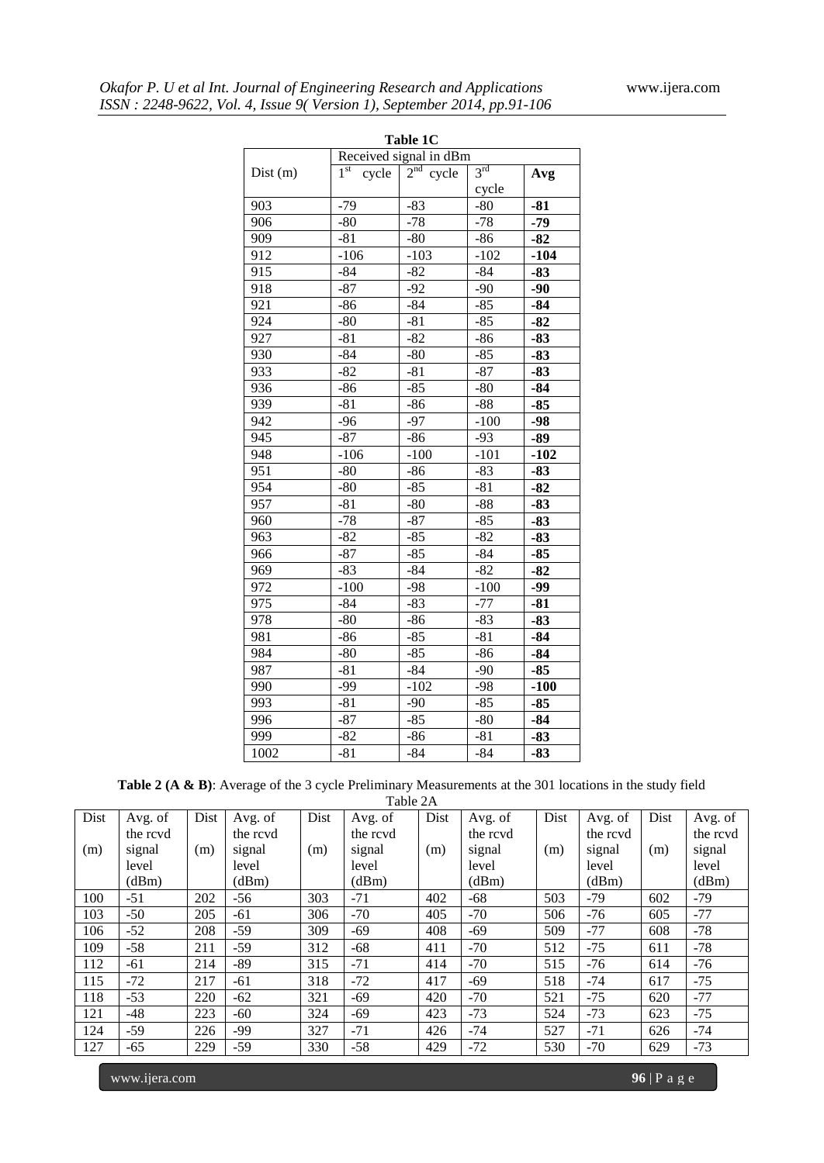|         |                          | Table 1C               |                 |        |
|---------|--------------------------|------------------------|-----------------|--------|
|         |                          | Received signal in dBm |                 |        |
| Dist(m) | 1 <sup>st</sup><br>cycle | $2nd$ cycle            | 3 <sup>rd</sup> | Avg    |
|         |                          |                        | cycle           |        |
| 903     | $-79$                    | $-83$                  | $-80$           | $-81$  |
| 906     | $-80$                    | $-78$                  | $-78$           | $-79$  |
| 909     | $-81$                    | $-80$                  | $-86$           | $-82$  |
| 912     | $-106$                   | $-103$                 | $-102$          | $-104$ |
| 915     | $-84$                    | -82                    | $-84$           | $-83$  |
| 918     | $-87$                    | $-92$                  | $-90$           | $-90$  |
| 921     | $-86$                    | $-84$                  | $-85$           | $-84$  |
| 924     | $-80$                    | $-81$                  | $-85$           | $-82$  |
| 927     | $-81$                    | $-82$                  | $-86$           | $-83$  |
| 930     | $-84$                    | $-80$                  | $-85$           | $-83$  |
| 933     | $-82$                    | $-81$                  | $-87$           | $-83$  |
| 936     | $-86$                    | $-85$                  | $-80$           | $-84$  |
| 939     | $-81$                    | $-86$                  | $-88$           | $-85$  |
| 942     | $-96$                    | $-97$                  | $-100$          | $-98$  |
| 945     | $-87$                    | $-86$                  | $-93$           | $-89$  |
| 948     | $-106$                   | $-100$                 | $-101$          | $-102$ |
| 951     | $-80$                    | $-86$                  | $-83$           | $-83$  |
| 954     | $-80$                    | $-85$                  | $-81$           | $-82$  |
| 957     | $-81$                    | $-80$                  | $-88$           | $-83$  |
| 960     | $-78$                    | $-87$                  | $-85$           | $-83$  |
| 963     | $-82$                    | $-85$                  | $-82$           | $-83$  |
| 966     | $-87$                    | $-85$                  | $-84$           | $-85$  |
| 969     | $-83$                    | $-84$                  | $-82$           | $-82$  |
| 972     | $-100$                   | $-98$                  | $-100$          | $-99$  |
| 975     | $-84$                    | $-83$                  | $-77$           | $-81$  |
| 978     | $-80$                    | $-86$                  | $-83$           | $-83$  |
| 981     | $-86$                    | $-85$                  | $-81$           | $-84$  |
| 984     | $-80$                    | $-85$                  | $-86$           | $-84$  |
| 987     | $-81$                    | $-84$                  | $-90$           | $-85$  |
| 990     | $-99$                    | $-102$                 | $-98$           | $-100$ |
| 993     | $-81$                    | $-90$                  | $-85$           | $-85$  |
| 996     | $-87$                    | $-85$                  | $-80$           | $-84$  |
| 999     | $-82$                    | $-86$                  | $-81$           | $-83$  |
| 1002    | $-81$                    | $-84$                  | $-84$           | $-83$  |

**Table 2 (A & B)**: Average of the 3 cycle Preliminary Measurements at the 301 locations in the study field

|      |          |      |          |      | Table 2A |      |          |      |          |      |          |
|------|----------|------|----------|------|----------|------|----------|------|----------|------|----------|
| Dist | Avg. of  | Dist | Avg. of  | Dist | Avg. of  | Dist | Avg. of  | Dist | Avg. of  | Dist | Avg. of  |
|      | the rcvd |      | the rcvd |      | the rcvd |      | the rcvd |      | the rcvd |      | the rcvd |
| (m)  | signal   | (m)  | signal   | (m)  | signal   | (m)  | signal   | (m)  | signal   | (m)  | signal   |
|      | level    |      | level    |      | level    |      | level    |      | level    |      | level    |
|      | (dBm)    |      | (dBm)    |      | (dBm)    |      | (dBm)    |      | (dBm)    |      | (dBm)    |
| 100  | $-51$    | 202  | $-56$    | 303  | $-71$    | 402  | $-68$    | 503  | -79      | 602  | $-79$    |
| 103  | $-50$    | 205  | $-61$    | 306  | $-70$    | 405  | $-70$    | 506  | $-76$    | 605  | $-77$    |
| 106  | $-52$    | 208  | $-59$    | 309  | $-69$    | 408  | $-69$    | 509  | $-77$    | 608  | $-78$    |
| 109  | $-58$    | 211  | $-59$    | 312  | $-68$    | 411  | $-70$    | 512  | $-75$    | 611  | $-78$    |
| 112  | $-61$    | 214  | -89      | 315  | $-71$    | 414  | $-70$    | 515  | $-76$    | 614  | $-76$    |
| 115  | $-72$    | 217  | -61      | 318  | $-72$    | 417  | $-69$    | 518  | $-74$    | 617  | $-75$    |
| 118  | $-53$    | 220  | $-62$    | 321  | $-69$    | 420  | $-70$    | 521  | $-75$    | 620  | $-77$    |
| 121  | $-48$    | 223  | $-60$    | 324  | $-69$    | 423  | $-73$    | 524  | $-73$    | 623  | $-75$    |
| 124  | $-59$    | 226  | -99      | 327  | $-71$    | 426  | $-74$    | 527  | $-71$    | 626  | $-74$    |
| 127  | $-65$    | 229  | $-59$    | 330  | $-58$    | 429  | $-72$    | 530  | $-70$    | 629  | $-73$    |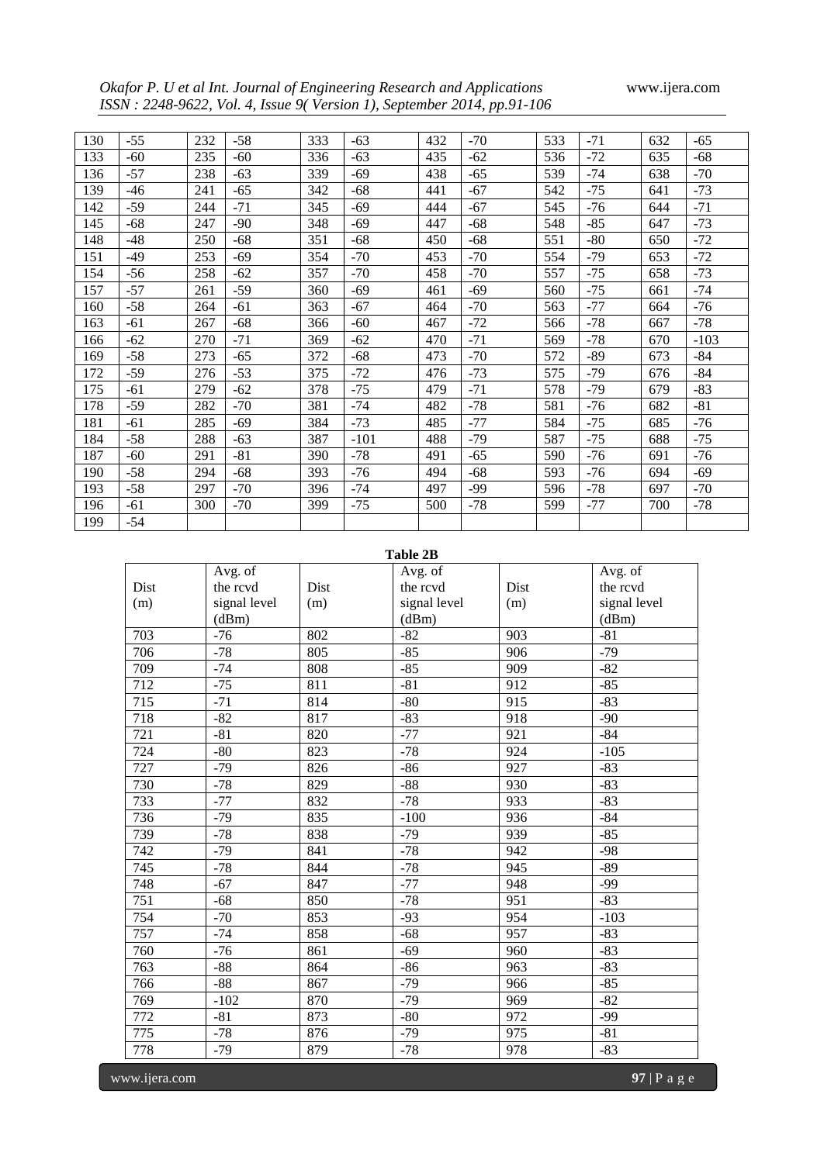*Okafor P. U et al Int. Journal of Engineering Research and Applications* www.ijera.com *ISSN : 2248-9622, Vol. 4, Issue 9( Version 1), September 2014, pp.91-106*

| 130 | $-55$ | 232 | $-58$ | 333 | $-63$  | 432 | $-70$ | 533 | $-71$ | 632 | $-65$  |
|-----|-------|-----|-------|-----|--------|-----|-------|-----|-------|-----|--------|
| 133 | $-60$ | 235 | $-60$ | 336 | $-63$  | 435 | $-62$ | 536 | $-72$ | 635 | $-68$  |
| 136 | $-57$ | 238 | $-63$ | 339 | $-69$  | 438 | $-65$ | 539 | $-74$ | 638 | $-70$  |
| 139 | $-46$ | 241 | $-65$ | 342 | $-68$  | 441 | $-67$ | 542 | $-75$ | 641 | $-73$  |
| 142 | $-59$ | 244 | $-71$ | 345 | $-69$  | 444 | $-67$ | 545 | $-76$ | 644 | $-71$  |
| 145 | $-68$ | 247 | $-90$ | 348 | $-69$  | 447 | $-68$ | 548 | $-85$ | 647 | $-73$  |
| 148 | $-48$ | 250 | $-68$ | 351 | $-68$  | 450 | $-68$ | 551 | $-80$ | 650 | $-72$  |
| 151 | $-49$ | 253 | $-69$ | 354 | $-70$  | 453 | $-70$ | 554 | $-79$ | 653 | $-72$  |
| 154 | $-56$ | 258 | $-62$ | 357 | $-70$  | 458 | $-70$ | 557 | $-75$ | 658 | $-73$  |
| 157 | $-57$ | 261 | $-59$ | 360 | $-69$  | 461 | $-69$ | 560 | $-75$ | 661 | $-74$  |
| 160 | $-58$ | 264 | $-61$ | 363 | $-67$  | 464 | $-70$ | 563 | $-77$ | 664 | $-76$  |
| 163 | $-61$ | 267 | $-68$ | 366 | $-60$  | 467 | $-72$ | 566 | $-78$ | 667 | $-78$  |
| 166 | $-62$ | 270 | $-71$ | 369 | $-62$  | 470 | $-71$ | 569 | $-78$ | 670 | $-103$ |
| 169 | $-58$ | 273 | $-65$ | 372 | $-68$  | 473 | $-70$ | 572 | -89   | 673 | $-84$  |
| 172 | $-59$ | 276 | $-53$ | 375 | $-72$  | 476 | $-73$ | 575 | $-79$ | 676 | $-84$  |
| 175 | $-61$ | 279 | -62   | 378 | $-75$  | 479 | $-71$ | 578 | -79   | 679 | $-83$  |
| 178 | $-59$ | 282 | $-70$ | 381 | $-74$  | 482 | $-78$ | 581 | $-76$ | 682 | $-81$  |
| 181 | $-61$ | 285 | $-69$ | 384 | $-73$  | 485 | $-77$ | 584 | $-75$ | 685 | $-76$  |
| 184 | $-58$ | 288 | $-63$ | 387 | $-101$ | 488 | $-79$ | 587 | $-75$ | 688 | $-75$  |
| 187 | $-60$ | 291 | $-81$ | 390 | $-78$  | 491 | $-65$ | 590 | $-76$ | 691 | $-76$  |
| 190 | $-58$ | 294 | $-68$ | 393 | $-76$  | 494 | $-68$ | 593 | $-76$ | 694 | $-69$  |
| 193 | $-58$ | 297 | $-70$ | 396 | $-74$  | 497 | -99   | 596 | $-78$ | 697 | $-70$  |
| 196 | $-61$ | 300 | $-70$ | 399 | $-75$  | 500 | $-78$ | 599 | $-77$ | 700 | $-78$  |
| 199 | $-54$ |     |       |     |        |     |       |     |       |     |        |

# **Table 2B**

|      | Avg. of      |      | Avg. of      |      | Avg. of      |
|------|--------------|------|--------------|------|--------------|
| Dist | the rcvd     | Dist | the rcvd     | Dist | the rcvd     |
| (m)  | signal level | (m)  | signal level | (m)  | signal level |
|      | (dBm)        |      | (dBm)        |      | (dBm)        |
| 703  | $-76$        | 802  | $-82$        | 903  | $-81$        |
| 706  | $-78$        | 805  | $-85$        | 906  | $-79$        |
| 709  | $-74$        | 808  | $-85$        | 909  | $-82$        |
| 712  | $-75$        | 811  | $-81$        | 912  | $-85$        |
| 715  | $-71$        | 814  | $-80$        | 915  | $-83$        |
| 718  | $-82$        | 817  | $-83$        | 918  | $-90$        |
| 721  | $-81$        | 820  | $-77$        | 921  | $-84$        |
| 724  | $-80$        | 823  | $-78$        | 924  | $-105$       |
| 727  | $-79$        | 826  | $-86$        | 927  | $-83$        |
| 730  | $-78$        | 829  | $-88$        | 930  | $-83$        |
| 733  | $-77$        | 832  | $-78$        | 933  | $-83$        |
| 736  | $-79$        | 835  | $-100$       | 936  | $-84$        |
| 739  | $-78$        | 838  | $-79$        | 939  | $-85$        |
| 742  | $-79$        | 841  | $-78$        | 942  | $-98$        |
| 745  | $-78$        | 844  | $-78$        | 945  | $-89$        |
| 748  | $-67$        | 847  | $-77$        | 948  | $-99$        |
| 751  | $-68$        | 850  | $-78$        | 951  | $-83$        |
| 754  | $-70$        | 853  | $-93$        | 954  | $-103$       |
| 757  | $-74$        | 858  | $-68$        | 957  | $-83$        |
| 760  | $-76$        | 861  | $-69$        | 960  | $-83$        |
| 763  | $-88$        | 864  | $-86$        | 963  | $-83$        |
| 766  | $-88$        | 867  | $-79$        | 966  | $-85$        |
| 769  | $-102$       | 870  | $-79$        | 969  | $-82$        |
| 772  | $-81$        | 873  | $-80$        | 972  | $-99$        |
| 775  | $-78$        | 876  | $-79$        | 975  | $-81$        |
| 778  | $-79$        | 879  | $-78$        | 978  | $-83$        |

www.ijera.com **97** | P a g e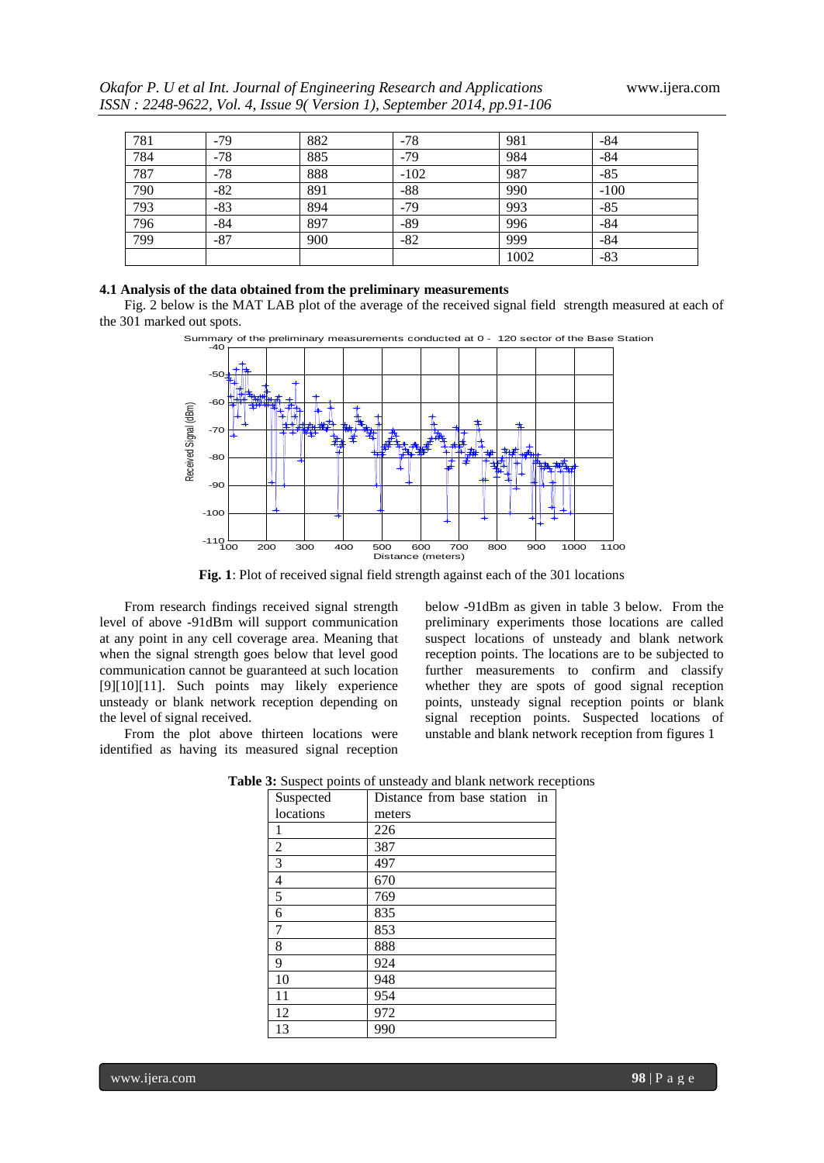|     |       |     | ISSN : 2248-9622, Vol. 4, Issue 9(Version 1), September 2014, pp.91-106 |     |     |
|-----|-------|-----|-------------------------------------------------------------------------|-----|-----|
|     |       |     |                                                                         |     |     |
| 781 | $-79$ | 882 | $-78$                                                                   | 981 | -84 |

| 781 | $-79$ | 882 | $-78$  | 981  | $-84$  |
|-----|-------|-----|--------|------|--------|
| 784 | $-78$ | 885 | $-79$  | 984  | $-84$  |
| 787 | $-78$ | 888 | $-102$ | 987  | $-85$  |
| 790 | $-82$ | 891 | $-88$  | 990  | $-100$ |
| 793 | $-83$ | 894 | $-79$  | 993  | $-85$  |
| 796 | $-84$ | 897 | $-89$  | 996  | $-84$  |
| 799 | $-87$ | 900 | $-82$  | 999  | $-84$  |
|     |       |     |        | 1002 | $-83$  |

## **4.1 Analysis of the data obtained from the preliminary measurements**

Fig. 2 below is the MAT LAB plot of the average of the received signal field strength measured at each of the 301 marked out spots.





**Fig. 1**: Plot of received signal field strength against each of the 301 locations

From research findings received signal strength level of above -91dBm will support communication at any point in any cell coverage area. Meaning that when the signal strength goes below that level good communication cannot be guaranteed at such location [9][10][11]. Such points may likely experience unsteady or blank network reception depending on the level of signal received.

From the plot above thirteen locations were identified as having its measured signal reception below -91dBm as given in table 3 below. From the preliminary experiments those locations are called suspect locations of unsteady and blank network reception points. The locations are to be subjected to further measurements to confirm and classify whether they are spots of good signal reception points, unsteady signal reception points or blank signal reception points. Suspected locations of unstable and blank network reception from figures 1

| Suspected      | Distance from base station in |
|----------------|-------------------------------|
| locations      | meters                        |
| 1              | 226                           |
| $\overline{c}$ | 387                           |
| 3              | 497                           |
| 4              | 670                           |
| 5              | 769                           |
| 6              | 835                           |
| 7              | 853                           |
| 8              | 888                           |
| 9              | 924                           |
| 10             | 948                           |
| 11             | 954                           |
| 12             | 972                           |
| 13             | 990                           |

**Table 3:** Suspect points of unsteady and blank network receptions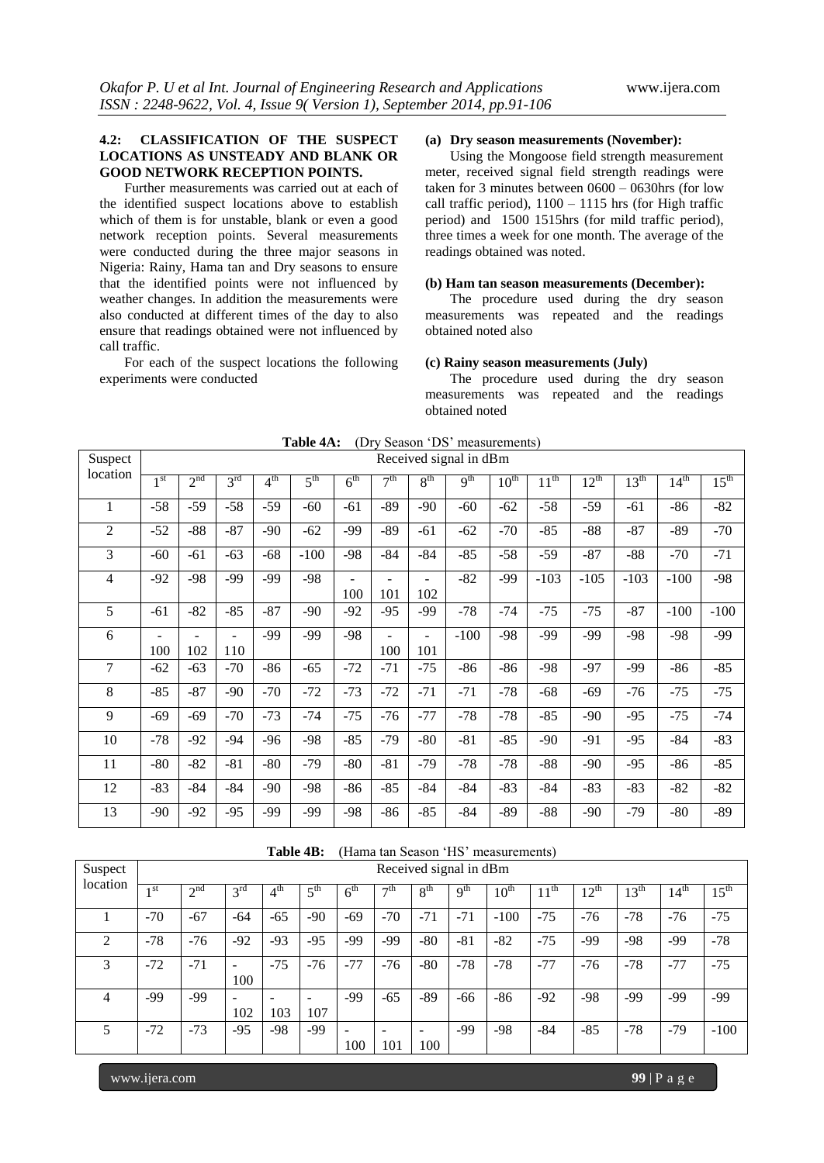# **4.2: CLASSIFICATION OF THE SUSPECT LOCATIONS AS UNSTEADY AND BLANK OR GOOD NETWORK RECEPTION POINTS.**

Further measurements was carried out at each of the identified suspect locations above to establish which of them is for unstable, blank or even a good network reception points. Several measurements were conducted during the three major seasons in Nigeria: Rainy, Hama tan and Dry seasons to ensure that the identified points were not influenced by weather changes. In addition the measurements were also conducted at different times of the day to also ensure that readings obtained were not influenced by call traffic.

For each of the suspect locations the following experiments were conducted

# **(a) Dry season measurements (November):**

Using the Mongoose field strength measurement meter, received signal field strength readings were taken for 3 minutes between 0600 – 0630hrs (for low call traffic period),  $1100 - 1115$  hrs (for High traffic period) and 1500 1515hrs (for mild traffic period), three times a week for one month. The average of the readings obtained was noted.

# **(b) Ham tan season measurements (December):**

The procedure used during the dry season measurements was repeated and the readings obtained noted also

## **(c) Rainy season measurements (July)**

The procedure used during the dry season measurements was repeated and the readings obtained noted

| Suspect        | Received signal in dBm          |                 |                 |                 |                 |                 |                 |                                 |                 |           |           |           |                  |           |                  |
|----------------|---------------------------------|-----------------|-----------------|-----------------|-----------------|-----------------|-----------------|---------------------------------|-----------------|-----------|-----------|-----------|------------------|-----------|------------------|
| location       | 1 <sup>st</sup>                 | 2 <sup>nd</sup> | 3 <sup>rd</sup> | 4 <sup>th</sup> | $5^{\text{th}}$ | 6 <sup>th</sup> | 7 <sup>th</sup> | 8 <sup>th</sup>                 | 9 <sup>th</sup> | $10^{th}$ | $11^{th}$ | $12^{th}$ | $13^{\text{th}}$ | $14^{th}$ | $15^{\text{th}}$ |
| 1              | $-58$                           | $-59$           | $-58$           | $-59$           | $-60$           | -61             | $-89$           | $-90$                           | $-60$           | $-62$     | $-58$     | $-59$     | $-61$            | $-86$     | $-82$            |
| $\overline{2}$ | $-52$                           | $-88$           | $-87$           | $-90$           | $-62$           | -99             | -89             | $-61$                           | $-62$           | $-70$     | $-85$     | $-88$     | $-87$            | $-89$     | $-70$            |
| 3              | $-60$                           | $-61$           | $-63$           | $-68$           | $-100$          | $-98$           | $-84$           | $-84$                           | $-85$           | $-58$     | $-59$     | $-87$     | $-88$            | $-70$     | $-71$            |
| 4              | $-92$                           | $-98$           | $-99$           | $-99$           | $-98$           | 100             | 101             | 102                             | $-82$           | $-99$     | $-103$    | $-105$    | $-103$           | $-100$    | $-98$            |
| 5              | $-61$                           | $-82$           | $-85$           | $-87$           | $-90$           | $-92$           | $-95$           | -99                             | $-78$           | $-74$     | $-75$     | $-75$     | $-87$            | $-100$    | $-100$           |
| 6              | $\overline{\phantom{0}}$<br>100 | 102             | 110             | $-99$           | $-99$           | $-98$           | 100             | $\overline{\phantom{0}}$<br>101 | $-100$          | $-98$     | -99       | -99       | $-98$            | $-98$     | -99              |
| 7              | $-62$                           | $-63$           | $-70$           | $-86$           | $-65$           | $-72$           | $-71$           | $-75$                           | $-86$           | $-86$     | $-98$     | $-97$     | $-99$            | $-86$     | $-85$            |
| 8              | $-85$                           | $-87$           | $-90$           | $-70$           | $-72$           | $-73$           | $-72$           | $-71$                           | $-71$           | $-78$     | $-68$     | $-69$     | $-76$            | $-75$     | $-75$            |
| 9              | $-69$                           | $-69$           | $-70$           | $-73$           | $-74$           | $-75$           | $-76$           | $-77$                           | $-78$           | $-78$     | $-85$     | $-90$     | $-95$            | $-75$     | -74              |
| 10             | $-78$                           | $-92$           | $-94$           | $-96$           | $-98$           | $-85$           | $-79$           | $-80$                           | $-81$           | $-85$     | $-90$     | $-91$     | $-95$            | $-84$     | $-83$            |
| 11             | $-80$                           | $-82$           | $-81$           | $-80$           | $-79$           | $-80$           | $-81$           | $-79$                           | $-78$           | $-78$     | $-88$     | $-90$     | $-95$            | $-86$     | $-85$            |
| 12             | $-83$                           | $-84$           | $-84$           | $-90$           | $-98$           | $-86$           | $-85$           | $-84$                           | $-84$           | $-83$     | $-84$     | $-83$     | $-83$            | $-82$     | $-82$            |
| 13             | $-90$                           | $-92$           | $-95$           | -99             | -99             | -98             | -86             | $-85$                           | $-84$           | -89       | -88       | -90       | $-79$            | $-80$     | $-89$            |

|  |  |  | Table 4A: (Dry Season 'DS' measurements) |  |
|--|--|--|------------------------------------------|--|
|--|--|--|------------------------------------------|--|

|                             |                 |                 |                                     | Table 4B:       |                 |                                 |                                 |                                 |                 | (Hama tan Season 'HS' measurements) |                  |                  |                  |                  |                  |
|-----------------------------|-----------------|-----------------|-------------------------------------|-----------------|-----------------|---------------------------------|---------------------------------|---------------------------------|-----------------|-------------------------------------|------------------|------------------|------------------|------------------|------------------|
| Suspect                     |                 |                 |                                     |                 |                 |                                 |                                 | Received signal in dBm          |                 |                                     |                  |                  |                  |                  |                  |
| location                    | 1 <sup>st</sup> | 2 <sup>nd</sup> | 3 <sup>rd</sup>                     | 4 <sup>th</sup> | 5 <sup>th</sup> | 6 <sup>th</sup>                 | $\neg$ th                       | 8 <sup>th</sup>                 | q <sup>th</sup> | $10^{\text{th}}$                    | $11^{\text{th}}$ | $12^{\text{th}}$ | $13^{\text{th}}$ | $14^{\text{th}}$ | $15^{\text{th}}$ |
|                             | $-70$           | $-67$           | -64                                 | $-65$           | $-90$           | $-69$                           | $-70$                           | $-71$                           | $-71$           | $-100$                              | $-75$            | $-76$            | $-78$            | $-76$            | $-75$            |
| $\mathcal{D}_{\mathcal{L}}$ | $-78$           | $-76$           | $-92$                               | $-93$           | $-95$           | -99                             | $-99$                           | $-80$                           | $-81$           | $-82$                               | $-75$            | -99              | $-98$            | -99              | $-78$            |
| 3                           | $-72$           | $-71$           | 100                                 | $-75$           | $-76$           | $-77$                           | $-76$                           | $-80$                           | $-78$           | $-78$                               | $-77$            | $-76$            | $-78$            | $-77$            | $-75$            |
| 4                           | -99             | -99             | $\qquad \qquad \blacksquare$<br>102 | 103             | 107             | -99                             | $-65$                           | -89                             | $-66$           | $-86$                               | $-92$            | $-98$            | -99              | -99              | -99              |
| 5                           | $-72$           | $-73$           | $-95$                               | -98             | -99             | $\overline{\phantom{a}}$<br>100 | $\overline{\phantom{0}}$<br>101 | $\overline{\phantom{a}}$<br>100 | $-99$           | $-98$                               | $-84$            | $-85$            | $-78$            | $-79$            | $-100$           |

www.ijera.com **99** | P a g e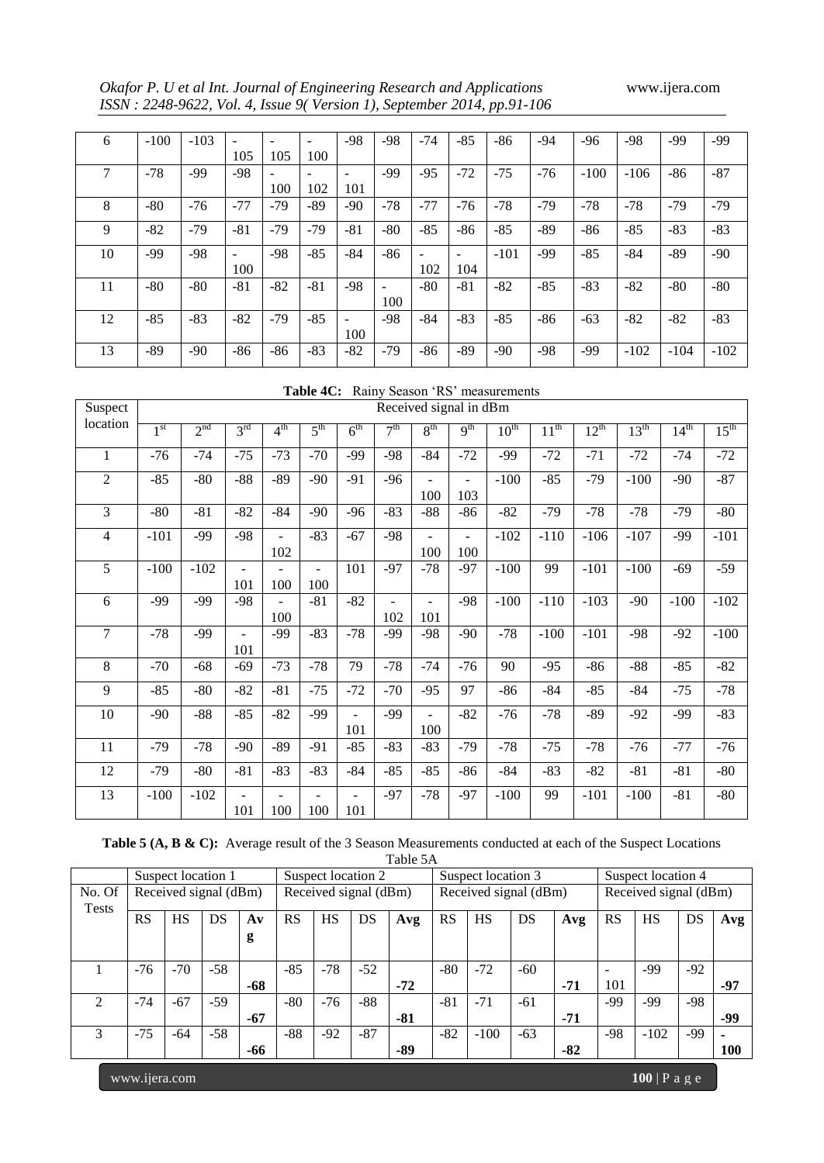*Okafor P. U et al Int. Journal of Engineering Research and Applications* www.ijera.com *ISSN : 2248-9622, Vol. 4, Issue 9( Version 1), September 2014, pp.91-106*

| 6  | $-100$ | $-103$ | $\overline{\phantom{a}}$ |       | ۰     | -98                      | $-98$                    | $-74$                    | $-85$                    | $-86$  | -94   | $-96$  | -98    | -99    | -99    |
|----|--------|--------|--------------------------|-------|-------|--------------------------|--------------------------|--------------------------|--------------------------|--------|-------|--------|--------|--------|--------|
|    |        |        | 105                      | 105   | 100   |                          |                          |                          |                          |        |       |        |        |        |        |
| 7  | $-78$  | -99    | -98                      |       | ۰     | $\overline{\phantom{0}}$ | $-99$                    | $-95$                    | $-72$                    | $-75$  | $-76$ | $-100$ | $-106$ | $-86$  | $-87$  |
|    |        |        |                          | 100   | 102   | 101                      |                          |                          |                          |        |       |        |        |        |        |
| 8  | $-80$  | $-76$  | $-77$                    | $-79$ | -89   | $-90$                    | $-78$                    | $-77$                    | $-76$                    | $-78$  | $-79$ | $-78$  | $-78$  | $-79$  | -79    |
| 9  | $-82$  | $-79$  | $-81$                    | $-79$ | $-79$ | $-81$                    | $-80$                    | $-85$                    | $-86$                    | $-85$  | -89   | $-86$  | $-85$  | $-83$  | $-83$  |
|    |        |        |                          |       |       |                          |                          |                          |                          |        |       |        |        |        |        |
| 10 | -99    | $-98$  | $\overline{\phantom{a}}$ | $-98$ | $-85$ | -84                      | $-86$                    | $\overline{\phantom{a}}$ | $\overline{\phantom{a}}$ | $-101$ | -99   | $-85$  | $-84$  | -89    | $-90$  |
|    |        |        | 100                      |       |       |                          |                          | 102                      | 104                      |        |       |        |        |        |        |
| 11 | $-80$  | $-80$  | $-81$                    | $-82$ | $-81$ | -98                      | $\overline{\phantom{a}}$ | $-80$                    | $-81$                    | $-82$  | $-85$ | $-83$  | $-82$  | $-80$  | $-80$  |
|    |        |        |                          |       |       |                          | 100                      |                          |                          |        |       |        |        |        |        |
| 12 | $-85$  | $-83$  | $-82$                    | $-79$ | $-85$ | ۰                        | $-98$                    | $-84$                    | $-83$                    | $-85$  | $-86$ | $-63$  | $-82$  | $-82$  | $-83$  |
|    |        |        |                          |       |       | 100                      |                          |                          |                          |        |       |        |        |        |        |
| 13 | -89    | $-90$  | -86                      | $-86$ | $-83$ | -82                      | $-79$                    | $-86$                    | $-89$                    | $-90$  | -98   | -99    | $-102$ | $-104$ | $-102$ |

|  | Table 4C: Rainy Season 'RS' measurements |  |
|--|------------------------------------------|--|
|--|------------------------------------------|--|

| Suspect        |                 |                 |                 |                 |                 |                                 |                 | Received signal in dBm |                 |                  |                  |           |                  |           |                  |
|----------------|-----------------|-----------------|-----------------|-----------------|-----------------|---------------------------------|-----------------|------------------------|-----------------|------------------|------------------|-----------|------------------|-----------|------------------|
| location       | 1 <sup>st</sup> | 2 <sup>nd</sup> | 3 <sup>rd</sup> | 4 <sup>th</sup> | $5^{\text{th}}$ | 6 <sup>th</sup>                 | 7 <sup>th</sup> | $8^{\text{th}}$        | 9 <sup>th</sup> | $10^{\text{th}}$ | $11^{\text{th}}$ | $12^{th}$ | $13^{\text{th}}$ | $14^{th}$ | $15^{\text{th}}$ |
| $\mathbf{1}$   | $-76$           | $-74$           | $-75$           | $-73$           | $-70$           | -99                             | $-98$           | $-84$                  | $-72$           | $-99$            | $-72$            | $-71$     | $-72$            | $-74$     | $-72$            |
| $\overline{2}$ | $-85$           | $-80$           | $-88$           | $-89$           | $-90$           | $-91$                           | $-96$           | 100                    | ۰<br>103        | $-100$           | $-85$            | $-79$     | $-100$           | $-90$     | $-87$            |
| 3              | $-80$           | $-81$           | $-82$           | $-84$           | $-90$           | $-96$                           | $-83$           | $-88$                  | $-86$           | $-82$            | $-79$            | $-78$     | $-78$            | $-79$     | $-80$            |
| 4              | $-101$          | $-99$           | $-98$           | Ξ.<br>102       | $-83$           | $-67$                           | $-98$           | $\blacksquare$<br>100  | ۰<br>100        | $-102$           | $-110$           | $-106$    | $-107$           | $-99$     | $-101$           |
| 5              | $-100$          | $-102$          | 101             | 100             | 100             | 101                             | $-97$           | $-78$                  | $-97$           | $-100$           | 99               | $-101$    | $-100$           | $-69$     | $-59$            |
| 6              | $-99$           | $-99$           | $-98$           | 100             | $-81$           | $-82$                           | 102             | 101                    | $-98$           | $-100$           | $-110$           | $-103$    | $-90$            | $-100$    | $-102$           |
| $\overline{7}$ | $-78$           | $-99$           | 101             | -99             | $-83$           | $-78$                           | -99             | $-98$                  | $-90$           | $-78$            | $-100$           | $-101$    | $-98$            | $-92$     | $-100$           |
| 8              | $-70$           | $-68$           | $-69$           | $-73$           | $-78$           | 79                              | $-78$           | $-74$                  | $-76$           | 90               | $-95$            | $-86$     | $-88$            | $-85$     | $-82$            |
| 9              | $-85$           | $-80$           | $-82$           | $-81$           | $-75$           | $-72$                           | $-70$           | $-95$                  | 97              | $-86$            | $-84$            | $-85$     | $-84$            | $-75$     | $-78$            |
| 10             | $-90$           | $-88$           | $-85$           | $-82$           | $-99$           | $\overline{\phantom{0}}$<br>101 | $-99$           | 100                    | $-82$           | $-76$            | $-78$            | $-89$     | $-92$            | $-99$     | $-83$            |
| 11             | $-79$           | $-78$           | $-90$           | $-89$           | $-91$           | $-85$                           | $-83$           | $-83$                  | $-79$           | $-78$            | $-75$            | $-78$     | $-76$            | $-77$     | $-76$            |
| 12             | $-79$           | $-80$           | $-81$           | $-83$           | $-83$           | $-84$                           | $-85$           | $-85$                  | $-86$           | $-84$            | $-83$            | $-82$     | $-81$            | $-81$     | $-80$            |
| 13             | $-100$          | $-102$          | 101             | 100             | 100             | ۰<br>101                        | $-97$           | $-78$                  | $-97$           | $-100$           | 99               | $-101$    | $-100$           | $-81$     | $-80$            |

| Table 5 (A, B & C): Average result of the 3 Season Measurements conducted at each of the Suspect Locations |  |  |
|------------------------------------------------------------------------------------------------------------|--|--|
| Table 5A                                                                                                   |  |  |

|                        | 1 able 5A |                    |                       |               |           |           |                       |     |       |                       |       |       |           |                       |       |     |
|------------------------|-----------|--------------------|-----------------------|---------------|-----------|-----------|-----------------------|-----|-------|-----------------------|-------|-------|-----------|-----------------------|-------|-----|
|                        |           | Suspect location 1 |                       |               |           |           | Suspect location 2    |     |       | Suspect location 3    |       |       |           | Suspect location 4    |       |     |
| No. Of<br><b>Tests</b> |           |                    | Received signal (dBm) |               |           |           | Received signal (dBm) |     |       | Received signal (dBm) |       |       |           | Received signal (dBm) |       |     |
|                        | <b>RS</b> | <b>HS</b>          | DS                    | $A\mathbf{v}$ | <b>RS</b> | <b>HS</b> | DS                    | Avg | RS    | <b>HS</b>             | DS    | Avg   | <b>RS</b> | <b>HS</b>             | DS    | Avg |
|                        |           |                    |                       | g             |           |           |                       |     |       |                       |       |       |           |                       |       |     |
|                        |           |                    |                       |               |           |           |                       |     |       |                       |       |       |           |                       |       |     |
|                        | $-76$     | $-70$              | $-58$                 |               | $-85$     | $-78$     | $-52$                 |     | $-80$ | $-72$                 | $-60$ |       |           | -99                   | $-92$ |     |
|                        |           |                    |                       | -68           |           |           |                       | -72 |       |                       |       | $-71$ | 101       |                       |       | -97 |
|                        | $-74$     | $-67$              | $-59$                 |               | $-80$     | $-76$     | $-88$                 |     | $-81$ | $-71$                 | $-61$ |       | -99       | -99                   | $-98$ |     |
|                        |           |                    |                       | $-67$         |           |           |                       | -81 |       |                       |       | $-71$ |           |                       |       | -99 |
| $\mathcal{R}$          | $-75$     | $-64$              | $-58$                 |               | $-88$     | $-92$     | $-87$                 |     | $-82$ | $-100$                | $-63$ |       | $-98$     | $-102$                | $-99$ |     |
|                        |           |                    |                       | -66           |           |           |                       | -89 |       |                       |       | $-82$ |           |                       |       | 100 |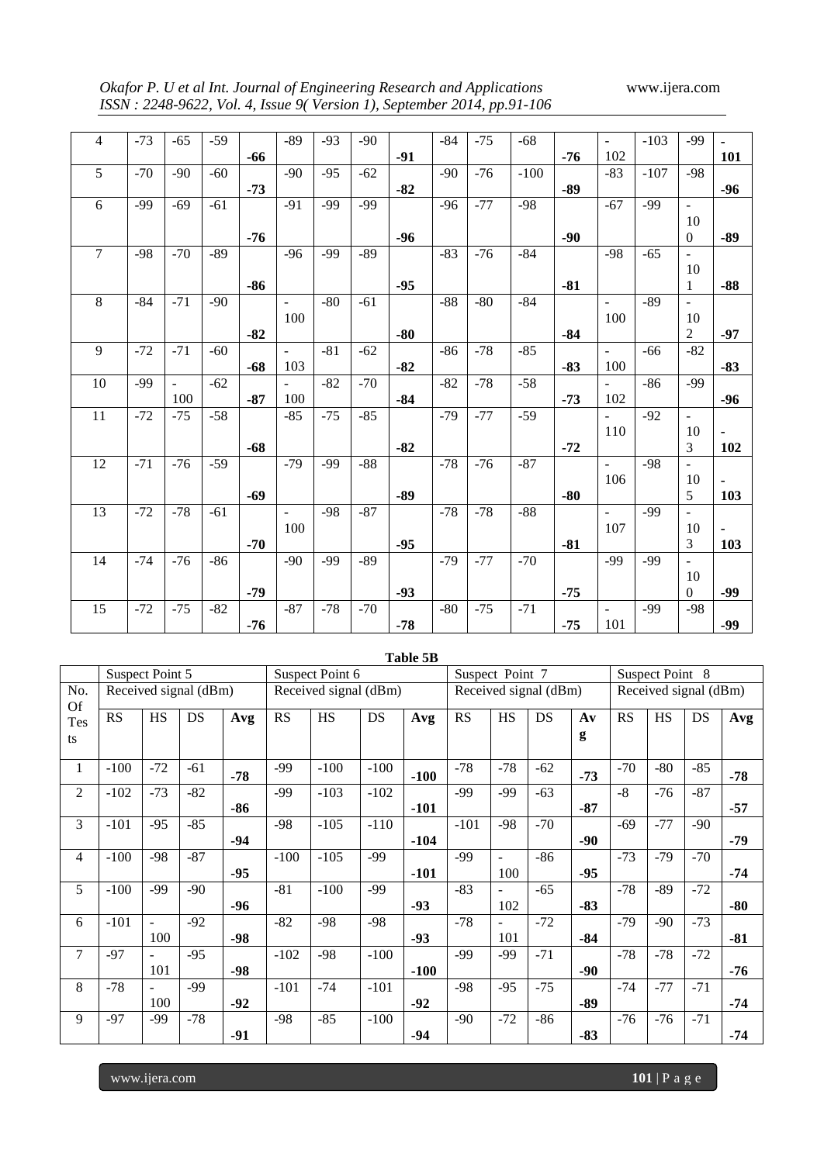*Okafor P. U et al Int. Journal of Engineering Research and Applications* www.ijera.com *ISSN : 2248-9622, Vol. 4, Issue 9( Version 1), September 2014, pp.91-106*

| $\overline{4}$  | $-73$ | $-65$                    | $-59$ |       | $-89$                    | $-93$ | $-90$ |       | $-84$ | $-75$ | $-68$  |       | $\omega$       | $-103$ | $-99$                    | $\blacksquare$ |
|-----------------|-------|--------------------------|-------|-------|--------------------------|-------|-------|-------|-------|-------|--------|-------|----------------|--------|--------------------------|----------------|
|                 |       |                          |       | $-66$ |                          |       |       | $-91$ |       |       |        | $-76$ | 102            |        |                          | 101            |
| $\overline{5}$  | $-70$ | $-90$                    | $-60$ |       | $-90$                    | $-95$ | $-62$ |       | $-90$ | $-76$ | $-100$ |       | $-83$          | $-107$ | $-98$                    |                |
|                 |       |                          |       | $-73$ |                          |       |       | $-82$ |       |       |        | $-89$ |                |        |                          | $-96$          |
| 6               | $-99$ | $-69$                    | $-61$ |       | $-91$                    | $-99$ | $-99$ |       | $-96$ | $-77$ | $-98$  |       | $-67$          | $-99$  | $\blacksquare$           |                |
|                 |       |                          |       |       |                          |       |       |       |       |       |        |       |                |        | 10                       |                |
|                 |       |                          |       | $-76$ |                          |       |       | $-96$ |       |       |        | $-90$ |                |        | $\mathbf{0}$             | $-89$          |
| $\overline{7}$  | $-98$ | $-70$                    | $-89$ |       | $-96$                    | $-99$ | $-89$ |       | $-83$ | $-76$ | $-84$  |       | $-98$          | $-65$  | $\overline{\phantom{a}}$ |                |
|                 |       |                          |       |       |                          |       |       |       |       |       |        |       |                |        | 10                       |                |
|                 |       |                          |       | $-86$ |                          |       |       | $-95$ |       |       |        | $-81$ |                |        | $\mathbf{1}$             | $-88$          |
| 8               | $-84$ | $-71$                    | $-90$ |       | $\overline{a}$           | $-80$ | $-61$ |       | $-88$ | $-80$ | $-84$  |       | $\overline{a}$ | $-89$  | $\overline{a}$           |                |
|                 |       |                          |       |       | 100                      |       |       |       |       |       |        |       | 100            |        | 10                       |                |
|                 |       |                          |       | $-82$ |                          |       |       | $-80$ |       |       |        | $-84$ |                |        | $\overline{2}$           | $-97$          |
| 9               | $-72$ | $-71$                    | $-60$ |       | $\overline{\phantom{0}}$ | $-81$ | $-62$ |       | $-86$ | $-78$ | $-85$  |       | $\blacksquare$ | $-66$  | $-82$                    |                |
|                 |       |                          |       | $-68$ | 103                      |       |       | $-82$ |       |       |        | $-83$ | 100            |        |                          | $-83$          |
| 10              | $-99$ | $\overline{\phantom{a}}$ | $-62$ |       | $\sim$                   | $-82$ | $-70$ |       | $-82$ | $-78$ | $-58$  |       | $\blacksquare$ | $-86$  | $-99$                    |                |
|                 |       | 100                      |       | $-87$ | 100                      |       |       | $-84$ |       |       |        | $-73$ | 102            |        |                          | $-96$          |
| $\overline{11}$ | $-72$ | $-75$                    | $-58$ |       | $-85$                    | $-75$ | $-85$ |       | $-79$ | $-77$ | $-59$  |       | ÷.             | $-92$  | $\blacksquare$           |                |
|                 |       |                          |       |       |                          |       |       |       |       |       |        |       | 110            |        | 10                       | $\blacksquare$ |
|                 |       |                          |       | $-68$ |                          |       |       | $-82$ |       |       |        | $-72$ |                |        | 3                        | 102            |
| 12              | $-71$ | $-76$                    | $-59$ |       | $-79$                    | $-99$ | $-88$ |       | $-78$ | $-76$ | $-87$  |       | $\mathbf{r}$   | $-98$  | $\blacksquare$           |                |
|                 |       |                          |       |       |                          |       |       |       |       |       |        |       | 106            |        | 10                       | $\blacksquare$ |
|                 |       |                          |       | $-69$ |                          |       |       | $-89$ |       |       |        | $-80$ |                |        | 5                        | 103            |
| 13              | $-72$ | $-78$                    | $-61$ |       | $\blacksquare$           | $-98$ | $-87$ |       | $-78$ | $-78$ | $-88$  |       | $\overline{a}$ | $-99$  | $\overline{\phantom{0}}$ |                |
|                 |       |                          |       |       | 100                      |       |       |       |       |       |        |       | 107            |        | 10                       | $\blacksquare$ |
|                 |       |                          |       | $-70$ |                          |       |       | $-95$ |       |       |        | $-81$ |                |        | 3                        | 103            |
| $\overline{14}$ | $-74$ | $-76$                    | $-86$ |       | $-90$                    | $-99$ | $-89$ |       | $-79$ | $-77$ | $-70$  |       | $-99$          | $-99$  | $\overline{\phantom{a}}$ |                |
|                 |       |                          |       |       |                          |       |       |       |       |       |        |       |                |        | 10                       |                |
|                 |       |                          |       | $-79$ |                          |       |       | $-93$ |       |       |        | $-75$ |                |        | $\boldsymbol{0}$         | $-99$          |
| 15              | $-72$ | $-75$                    | $-82$ |       | $-87$                    | $-78$ | $-70$ |       | $-80$ | $-75$ | $-71$  |       | $\blacksquare$ | $-99$  | $-98$                    |                |
|                 |       |                          |       | $-76$ |                          |       |       | $-78$ |       |       |        | $-75$ | 101            |        |                          | $-99$          |

|                |                        |                 |                       |       |                        |                       |        | Table 5B |                        |                 |                       |               |       |                 |                       |       |
|----------------|------------------------|-----------------|-----------------------|-------|------------------------|-----------------------|--------|----------|------------------------|-----------------|-----------------------|---------------|-------|-----------------|-----------------------|-------|
|                |                        | Suspect Point 5 |                       |       |                        | Suspect Point 6       |        |          |                        | Suspect Point 7 |                       |               |       | Suspect Point 8 |                       |       |
| No.            |                        |                 | Received signal (dBm) |       |                        | Received signal (dBm) |        |          |                        |                 | Received signal (dBm) |               |       |                 | Received signal (dBm) |       |
| Of<br>Tes      | $\overline{\text{RS}}$ | $\overline{HS}$ | DS                    | Avg   | $\overline{\text{RS}}$ | HS                    | DS     | Avg      | $\overline{\text{RS}}$ | $\overline{HS}$ | <b>DS</b>             | $A\mathbf{v}$ | RS    | $\overline{HS}$ | DS                    | Avg   |
| ts             |                        |                 |                       |       |                        |                       |        |          |                        |                 |                       | g             |       |                 |                       |       |
| 1              | $-100$                 | $-72$           | $-61$                 | $-78$ | $-99$                  | $-100$                | $-100$ | $-100$   | $-78$                  | $-78$           | $-62$                 | $-73$         | $-70$ | $-80$           | $-85$                 | $-78$ |
| $\overline{2}$ | $-102$                 | $-73$           | $-82$                 |       | $-99$                  | $-103$                | $-102$ |          | $-99$                  | $-99$           | $-63$                 |               | $-8$  | $-76$           | $-87$                 |       |
|                |                        |                 |                       | -86   |                        |                       |        | $-101$   |                        |                 |                       | $-87$         |       |                 |                       | $-57$ |
| 3              | $-101$                 | $-95$           | $-85$                 |       | $-98$                  | $-105$                | $-110$ |          | $-101$                 | $-98$           | $-70$                 |               | $-69$ | $-77$           | $-90$                 |       |
|                |                        |                 |                       | $-94$ | $-104$                 |                       |        |          |                        |                 |                       | $-90$         |       |                 |                       | $-79$ |
| 4              | $-100$                 | $-98$           | $-87$                 |       | $-100$                 | $-105$                | $-99$  |          | -99                    | $\sim$          | $-86$                 |               | $-73$ | $-79$           | $-70$                 |       |
|                |                        |                 |                       | $-95$ |                        |                       |        | $-101$   |                        | 100             |                       | $-95$         |       |                 |                       | $-74$ |
| 5              | $-100$                 | $-99$           | $-90$                 |       | $-81$                  | $-100$                | $-99$  |          | $-83$                  | $\blacksquare$  | $-65$                 |               | $-78$ | $-89$           | $-72$                 |       |
|                |                        |                 |                       | $-96$ |                        |                       |        | $-93$    |                        | 102             |                       | $-83$         |       |                 |                       | $-80$ |
| 6              | $-101$                 |                 | $-92$                 |       | $-82$                  | $-98$                 | $-98$  |          | $-78$                  |                 | $-72$                 |               | $-79$ | $-90$           | $-73$                 |       |
|                |                        | 100             |                       | $-98$ |                        |                       |        | $-93$    |                        | 101             |                       | $-84$         |       |                 |                       | $-81$ |
| $\overline{7}$ | $-97$                  |                 | $-95$                 |       | $-102$                 | $-98$                 | $-100$ |          | -99                    | -99             | $-71$                 |               | $-78$ | $-78$           | $-72$                 |       |
|                |                        | 101             |                       | $-98$ |                        |                       |        | $-100$   |                        |                 |                       | $-90$         |       |                 |                       | $-76$ |
| 8              | $-78$                  | $\blacksquare$  | -99                   |       | $-101$                 | $-74$                 | $-101$ |          | $-98$                  | $-95$           | $-75$                 |               | $-74$ | $-77$           | $-71$                 |       |
|                |                        | 100             |                       | $-92$ |                        |                       |        | $-92$    |                        |                 |                       | $-89$         |       |                 |                       | $-74$ |
| 9              | $-97$                  | -99             | $-78$                 |       | $-98$                  | $-85$                 | $-100$ |          | $-90$                  | $-72$           | $-86$                 |               | $-76$ | $-76$           | $-71$                 |       |
|                |                        |                 |                       | $-91$ |                        |                       |        | $-94$    |                        |                 |                       | $-83$         |       |                 |                       | $-74$ |

www.ijera.com **101** | P a g e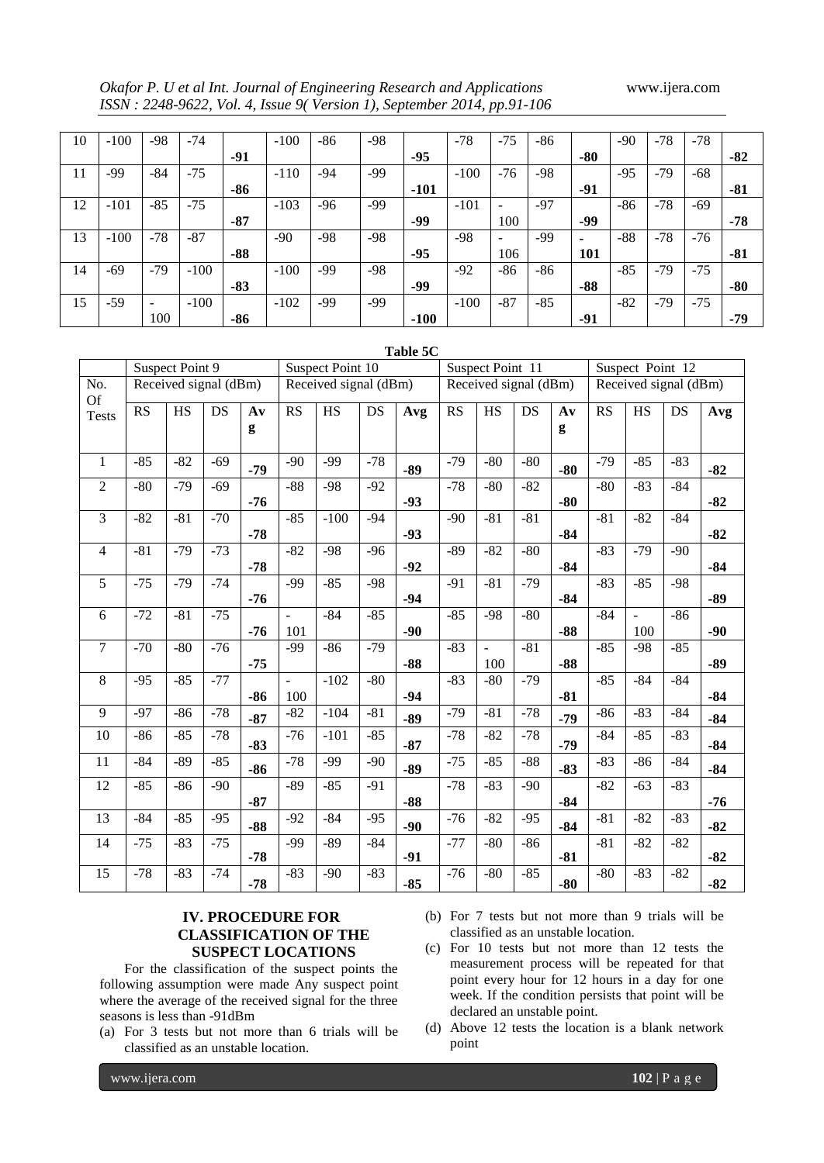*Okafor P. U et al Int. Journal of Engineering Research and Applications* www.ijera.com *ISSN : 2248-9622, Vol. 4, Issue 9( Version 1), September 2014, pp.91-106*

| 10 | $-100$ | -98    | $-74$  |       | $-100$ | $-86$ | $-98$ |        | $-78$  | $-75$                    | -86   |       | $-90$ | $-78$ | $-78$ |       |
|----|--------|--------|--------|-------|--------|-------|-------|--------|--------|--------------------------|-------|-------|-------|-------|-------|-------|
|    |        |        |        | -91   |        |       |       | $-95$  |        |                          |       | $-80$ |       |       |       | $-82$ |
| 11 | -99    | $-84$  | $-75$  |       | $-110$ | $-94$ | $-99$ |        | $-100$ | $-76$                    | $-98$ |       | $-95$ | $-79$ | -68   |       |
|    |        |        |        | $-86$ |        |       |       | $-101$ |        |                          |       | -91   |       |       |       | $-81$ |
| 12 | $-101$ | $-85$  | $-75$  |       | $-103$ | $-96$ | $-99$ |        | $-101$ | $\overline{\phantom{0}}$ | $-97$ |       | $-86$ | $-78$ | $-69$ |       |
|    |        |        |        | -87   |        |       |       | -99    |        | 100                      |       | -99   |       |       |       | $-78$ |
| 13 | $-100$ | $-78$  | $-87$  |       | $-90$  | -98   | $-98$ |        | $-98$  | $\sim$                   | -99   | ٠     | $-88$ | $-78$ | $-76$ |       |
|    |        |        |        | $-88$ |        |       |       | $-95$  |        | 106                      |       | 101   |       |       |       | $-81$ |
| 14 | $-69$  | $-79$  | $-100$ |       | $-100$ | -99   | $-98$ |        | $-92$  | $-86$                    | -86   |       | $-85$ | $-79$ | $-75$ |       |
|    |        |        |        | $-83$ |        |       |       | -99    |        |                          |       | $-88$ |       |       |       | $-80$ |
| 15 | $-59$  | $\sim$ | $-100$ |       | $-102$ | -99   | -99   |        | $-100$ | $-87$                    | $-85$ |       | $-82$ | $-79$ | $-75$ |       |
|    |        | 100    |        | $-86$ |        |       |       | $-100$ |        |                          |       | $-91$ |       |       |       | $-79$ |

|                                 |       |                       |       |                |                |                       |       | Table 5C |       |                       |       |               |           |                       |       |       |
|---------------------------------|-------|-----------------------|-------|----------------|----------------|-----------------------|-------|----------|-------|-----------------------|-------|---------------|-----------|-----------------------|-------|-------|
|                                 |       | Suspect Point 9       |       |                |                | Suspect Point 10      |       |          |       | Suspect Point 11      |       |               |           | Suspect Point 12      |       |       |
| No.<br>Of                       |       | Received signal (dBm) |       |                |                | Received signal (dBm) |       |          |       | Received signal (dBm) |       |               |           | Received signal (dBm) |       |       |
| $\operatorname{\mathsf{Tests}}$ | RS    | $\overline{HS}$       | DS    | A <sub>v</sub> | RS             | $\overline{HS}$       | DS    | Avg      | RS    | HS                    | DS    | $A\mathbf{v}$ | <b>RS</b> | $\overline{HS}$       | DS    | Avg   |
|                                 |       |                       |       | g              |                |                       |       |          |       |                       |       | g             |           |                       |       |       |
| $\overline{1}$                  | $-85$ | $-82$                 | $-69$ | $-79$          | $-90$          | $-99$                 | $-78$ | $-89$    | $-79$ | $-80$                 | $-80$ | $-80$         | $-79$     | $-85$                 | $-83$ | $-82$ |
| $\overline{2}$                  | $-80$ | $-79$                 | $-69$ | $-76$          | $-88$          | $-98$                 | $-92$ | $-93$    | $-78$ | $-80$                 | $-82$ | $-80$         | $-80$     | $-83$                 | $-84$ | $-82$ |
| 3                               | $-82$ | $-81$                 | $-70$ |                | $-85$          | $-100$                | $-94$ |          | $-90$ | $-81$                 | $-81$ |               | $-81$     | $-82$                 | $-84$ |       |
|                                 |       |                       |       | $-78$          |                |                       |       | $-93$    |       |                       |       | $-84$         |           |                       |       | $-82$ |
| $\overline{4}$                  | $-81$ | $-79$                 | $-73$ |                | $-82$          | $-98$                 | $-96$ |          | $-89$ | $-82$                 | $-80$ |               | $-83$     | $-79$                 | $-90$ |       |
|                                 |       |                       |       | $-78$          |                |                       |       | $-92$    |       |                       |       | $-84$         |           |                       |       | $-84$ |
| 5                               | $-75$ | $-79$                 | $-74$ | $-76$          | $-99$          | $-85$                 | $-98$ | $-94$    | $-91$ | $-81$                 | $-79$ | $-84$         | $-83$     | $-85$                 | $-98$ | $-89$ |
| 6                               | $-72$ | $-81$                 | $-75$ |                | $\mathbf{r}$   | $-84$                 | $-85$ |          | $-85$ | $-98$                 | $-80$ |               | $-84$     | $\sim$                | $-86$ |       |
|                                 |       |                       |       | $-76$          | 101            |                       |       | $-90$    |       |                       |       | $-88$         |           | 100                   |       | $-90$ |
| $\tau$                          | $-70$ | $-80$                 | $-76$ |                | $-99$          | $-86$                 | $-79$ |          | $-83$ | $\sim$                | $-81$ |               | $-85$     | $-98$                 | $-85$ |       |
|                                 |       |                       |       | $-75$          |                |                       |       | $-88$    |       | 100                   |       | $-88$         |           |                       |       | $-89$ |
| $\,8\,$                         | $-95$ | $-85$                 | $-77$ |                | $\overline{a}$ | $-102$                | $-80$ |          | $-83$ | $-80$                 | $-79$ |               | $-85$     | $-84$                 | $-84$ |       |
|                                 |       |                       |       | $-86$          | 100            |                       |       | $-94$    |       |                       |       | $-81$         |           |                       |       | $-84$ |
| $\overline{9}$                  | $-97$ | $-86$                 | $-78$ | $-87$          | $-82$          | $-104$                | $-81$ | $-89$    | $-79$ | $-81$                 | $-78$ | $-79$         | $-86$     | $-83$                 | $-84$ | $-84$ |
| 10                              | $-86$ | $-85$                 | $-78$ | $-83$          | $-76$          | $-101$                | $-85$ | $-87$    | $-78$ | $-82$                 | $-78$ | $-79$         | $-84$     | $-85$                 | $-83$ | $-84$ |
| 11                              | $-84$ | $-89$                 | $-85$ | $-86$          | $-78$          | $-99$                 | $-90$ | $-89$    | $-75$ | $-85$                 | $-88$ | $-83$         | $-83$     | $-86$                 | $-84$ | $-84$ |
| 12                              | $-85$ | $-86$                 | $-90$ |                | $-89$          | $-85$                 | $-91$ |          | $-78$ | $-83$                 | $-90$ |               | $-82$     | $-63$                 | $-83$ |       |
|                                 |       |                       |       | $-87$          |                |                       |       | $-88$    |       |                       |       | $-84$         |           |                       |       | $-76$ |
| 13                              | $-84$ | $-85$                 | $-95$ | $-88$          | $-92$          | $-84$                 | $-95$ | $-90$    | $-76$ | $-82$                 | $-95$ | $-84$         | $-81$     | $-82$                 | $-83$ | $-82$ |
| 14                              | $-75$ | $-83$                 | $-75$ |                | $-99$          | $-89$                 | $-84$ |          | $-77$ | $-80$                 | $-86$ |               | $-81$     | $-82$                 | $-82$ |       |
|                                 |       |                       |       | $-78$          |                |                       |       | $-91$    |       |                       |       | $-81$         |           |                       |       | $-82$ |
| 15                              | $-78$ | $-83$                 | $-74$ | $-78$          | $-83$          | $-90$                 | $-83$ | $-85$    | $-76$ | $-80$                 | $-85$ | $-80$         | $-80$     | $-83$                 | $-82$ | $-82$ |

# **Table 5C**

# **IV. PROCEDURE FOR CLASSIFICATION OF THE SUSPECT LOCATIONS**

For the classification of the suspect points the following assumption were made Any suspect point where the average of the received signal for the three seasons is less than -91dBm

- (a) For 3 tests but not more than 6 trials will be classified as an unstable location.
- (b) For 7 tests but not more than 9 trials will be classified as an unstable location.
- (c) For 10 tests but not more than 12 tests the measurement process will be repeated for that point every hour for 12 hours in a day for one week. If the condition persists that point will be declared an unstable point.
- (d) Above 12 tests the location is a blank network point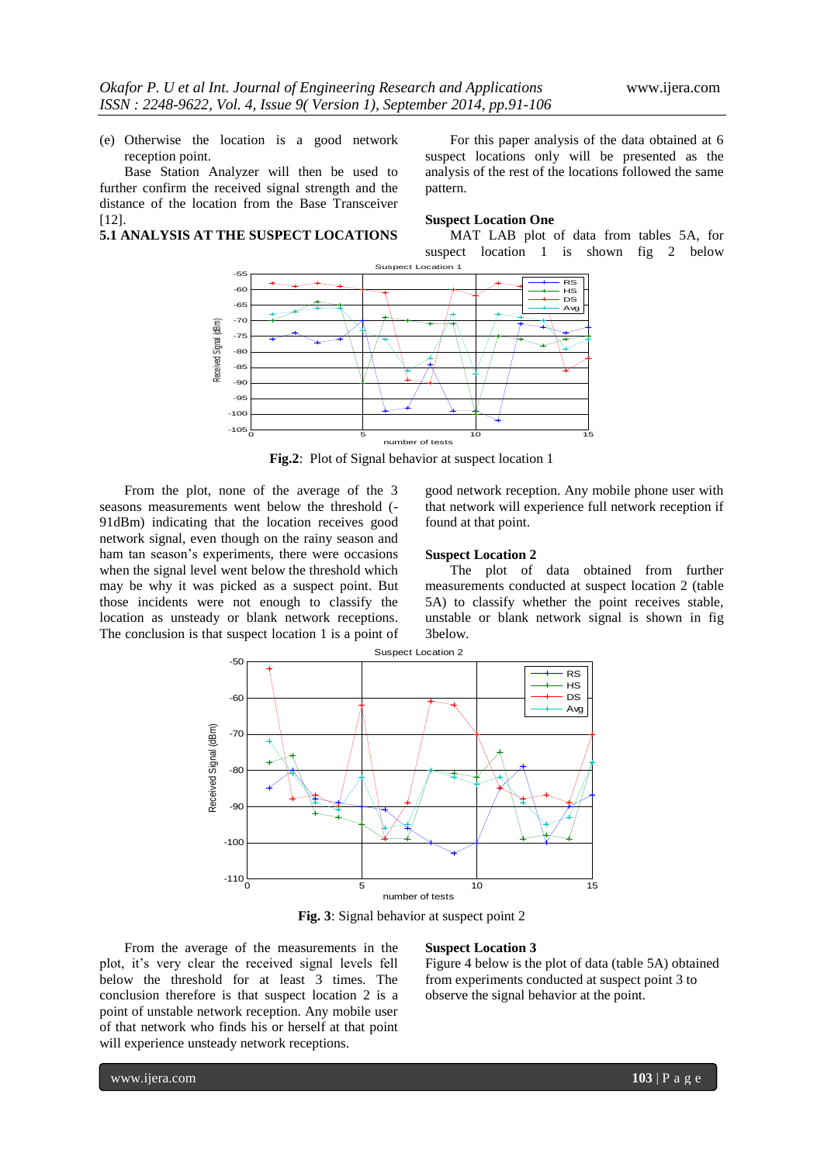(e) Otherwise the location is a good network reception point.

Base Station Analyzer will then be used to further confirm the received signal strength and the distance of the location from the Base Transceiver [12].

# **5.1 ANALYSIS AT THE SUSPECT LOCATIONS**

For this paper analysis of the data obtained at 6 suspect locations only will be presented as the analysis of the rest of the locations followed the same pattern.

# **Suspect Location One**

MAT LAB plot of data from tables 5A, for suspect location 1 is shown fig 2 below



**Fig.2**: Plot of Signal behavior at suspect location 1

From the plot, none of the average of the 3 seasons measurements went below the threshold (- 91dBm) indicating that the location receives good network signal, even though on the rainy season and ham tan season's experiments, there were occasions when the signal level went below the threshold which may be why it was picked as a suspect point. But those incidents were not enough to classify the location as unsteady or blank network receptions. The conclusion is that suspect location 1 is a point of good network reception. Any mobile phone user with that network will experience full network reception if found at that point.

# **Suspect Location 2**

The plot of data obtained from further measurements conducted at suspect location 2 (table 5A) to classify whether the point receives stable, unstable or blank network signal is shown in fig 3below.



**Fig. 3**: Signal behavior at suspect point 2

From the average of the measurements in the plot, it's very clear the received signal levels fell below the threshold for at least 3 times. The conclusion therefore is that suspect location 2 is a point of unstable network reception. Any mobile user of that network who finds his or herself at that point will experience unsteady network receptions.

## **Suspect Location 3**

Figure 4 below is the plot of data (table 5A) obtained from experiments conducted at suspect point 3 to observe the signal behavior at the point.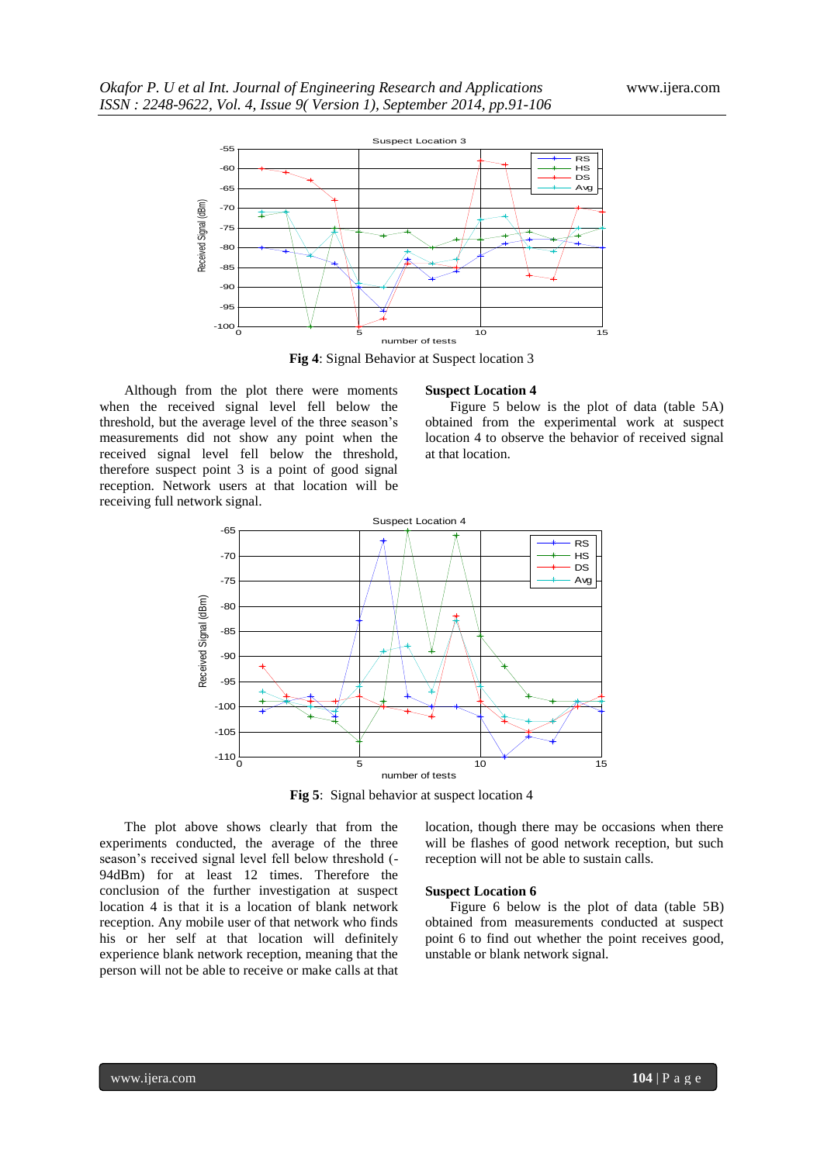

**Fig 4**: Signal Behavior at Suspect location 3

Although from the plot there were moments when the received signal level fell below the threshold, but the average level of the three season's measurements did not show any point when the received signal level fell below the threshold, therefore suspect point 3 is a point of good signal reception. Network users at that location will be receiving full network signal.

#### **Suspect Location 4**

Figure 5 below is the plot of data (table 5A) obtained from the experimental work at suspect location 4 to observe the behavior of received signal at that location.



**Fig 5**: Signal behavior at suspect location 4

The plot above shows clearly that from the experiments conducted, the average of the three season's received signal level fell below threshold (- 94dBm) for at least 12 times. Therefore the conclusion of the further investigation at suspect location 4 is that it is a location of blank network reception. Any mobile user of that network who finds his or her self at that location will definitely experience blank network reception, meaning that the person will not be able to receive or make calls at that location, though there may be occasions when there will be flashes of good network reception, but such reception will not be able to sustain calls.

#### **Suspect Location 6**

Figure 6 below is the plot of data (table 5B) obtained from measurements conducted at suspect point 6 to find out whether the point receives good, unstable or blank network signal.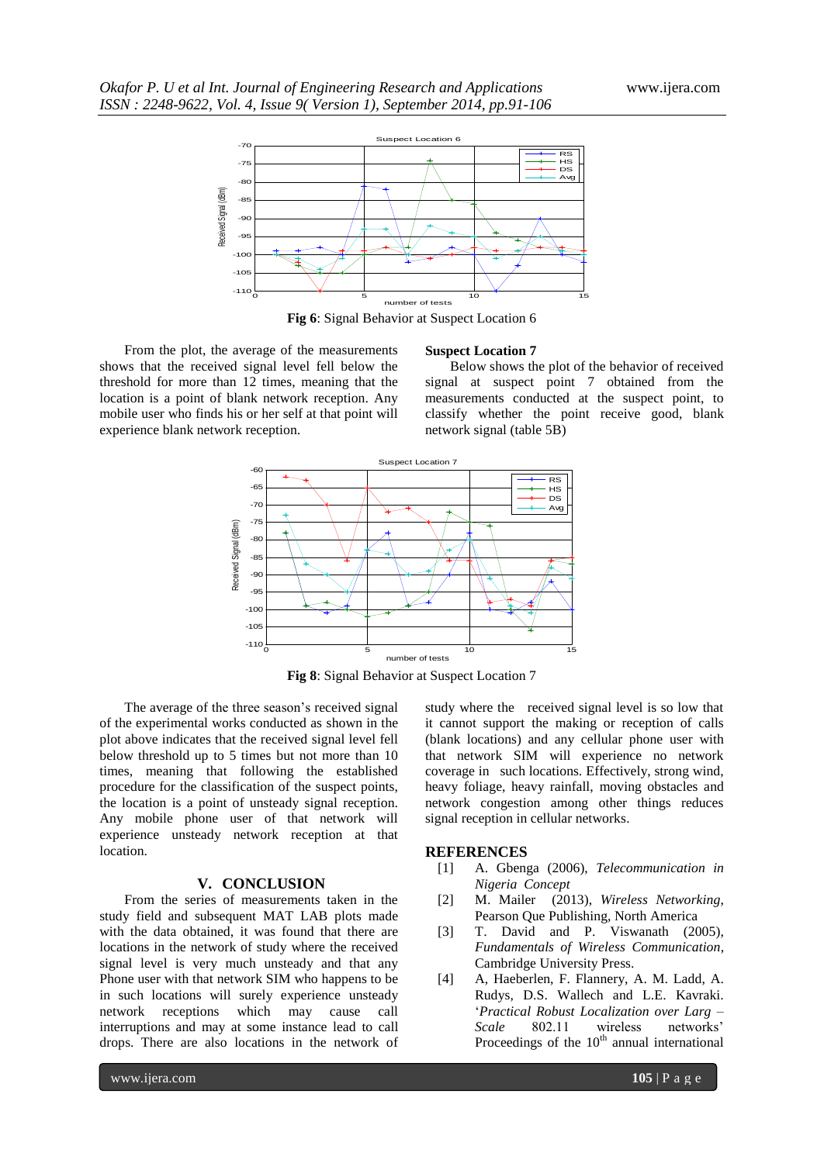

**Fig 6**: Signal Behavior at Suspect Location 6

**Suspect Location 7**

From the plot, the average of the measurements shows that the received signal level fell below the threshold for more than 12 times, meaning that the location is a point of blank network reception. Any mobile user who finds his or her self at that point will experience blank network reception.

Below shows the plot of the behavior of received signal at suspect point 7 obtained from the measurements conducted at the suspect point, to classify whether the point receive good, blank network signal (table 5B)



**Fig 8**: Signal Behavior at Suspect Location 7

The average of the three season's received signal of the experimental works conducted as shown in the plot above indicates that the received signal level fell below threshold up to 5 times but not more than 10 times, meaning that following the established procedure for the classification of the suspect points, the location is a point of unsteady signal reception. Any mobile phone user of that network will experience unsteady network reception at that location.

# **V. CONCLUSION**

From the series of measurements taken in the study field and subsequent MAT LAB plots made with the data obtained, it was found that there are locations in the network of study where the received signal level is very much unsteady and that any Phone user with that network SIM who happens to be in such locations will surely experience unsteady network receptions which may cause call interruptions and may at some instance lead to call drops. There are also locations in the network of

study where the received signal level is so low that it cannot support the making or reception of calls (blank locations) and any cellular phone user with that network SIM will experience no network coverage in such locations. Effectively, strong wind, heavy foliage, heavy rainfall, moving obstacles and network congestion among other things reduces signal reception in cellular networks.

# **REFERENCES**

- [1] A. Gbenga (2006), *Telecommunication in Nigeria Concept*
- [2] M. Mailer (2013), *Wireless Networking*, Pearson Que Publishing, North America
- [3] T. David and P. Viswanath (2005), *[Fundamentals of Wireless Communication](http://www.eecs.berkeley.edu/~dtse/book.html)*, Cambridge University Press.
- [4] A, Haeberlen, F. Flannery, A. M. Ladd, A. Rudys, D.S. Wallech and L.E. Kavraki. '*Practical Robust Localization over Larg – Scale* 802.11 wireless networks' Proceedings of the  $10<sup>th</sup>$  annual international